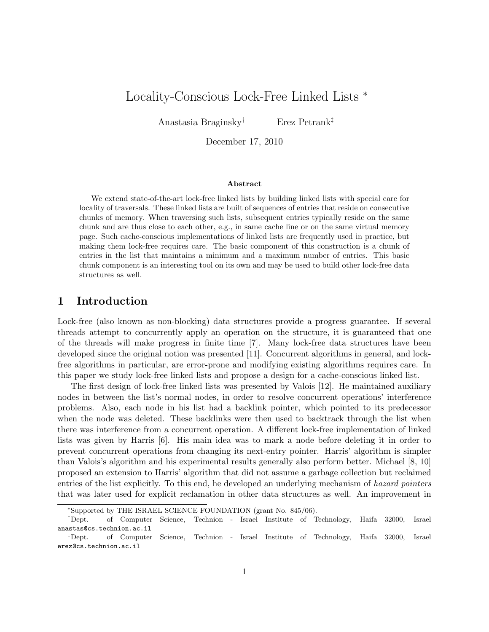# Locality-Conscious Lock-Free Linked Lists <sup>∗</sup>

Anastasia Braginsky† Erez Petrank‡

December 17, 2010

#### Abstract

We extend state-of-the-art lock-free linked lists by building linked lists with special care for locality of traversals. These linked lists are built of sequences of entries that reside on consecutive chunks of memory. When traversing such lists, subsequent entries typically reside on the same chunk and are thus close to each other, e.g., in same cache line or on the same virtual memory page. Such cache-conscious implementations of linked lists are frequently used in practice, but making them lock-free requires care. The basic component of this construction is a chunk of entries in the list that maintains a minimum and a maximum number of entries. This basic chunk component is an interesting tool on its own and may be used to build other lock-free data structures as well.

## 1 Introduction

Lock-free (also known as non-blocking) data structures provide a progress guarantee. If several threads attempt to concurrently apply an operation on the structure, it is guaranteed that one of the threads will make progress in finite time [7]. Many lock-free data structures have been developed since the original notion was presented [11]. Concurrent algorithms in general, and lockfree algorithms in particular, are error-prone and modifying existing algorithms requires care. In this paper we study lock-free linked lists and propose a design for a cache-conscious linked list.

The first design of lock-free linked lists was presented by Valois [12]. He maintained auxiliary nodes in between the list's normal nodes, in order to resolve concurrent operations' interference problems. Also, each node in his list had a backlink pointer, which pointed to its predecessor when the node was deleted. These backlinks were then used to backtrack through the list when there was interference from a concurrent operation. A different lock-free implementation of linked lists was given by Harris [6]. His main idea was to mark a node before deleting it in order to prevent concurrent operations from changing its next-entry pointer. Harris' algorithm is simpler than Valois's algorithm and his experimental results generally also perform better. Michael [8, 10] proposed an extension to Harris' algorithm that did not assume a garbage collection but reclaimed entries of the list explicitly. To this end, he developed an underlying mechanism of hazard pointers that was later used for explicit reclamation in other data structures as well. An improvement in

<sup>∗</sup>Supported by THE ISRAEL SCIENCE FOUNDATION (grant No. 845/06).

<sup>†</sup>Dept. of Computer Science, Technion - Israel Institute of Technology, Haifa 32000, Israel anastas@cs.technion.ac.il

<sup>‡</sup>Dept. of Computer Science, Technion - Israel Institute of Technology, Haifa 32000, Israel erez@cs.technion.ac.il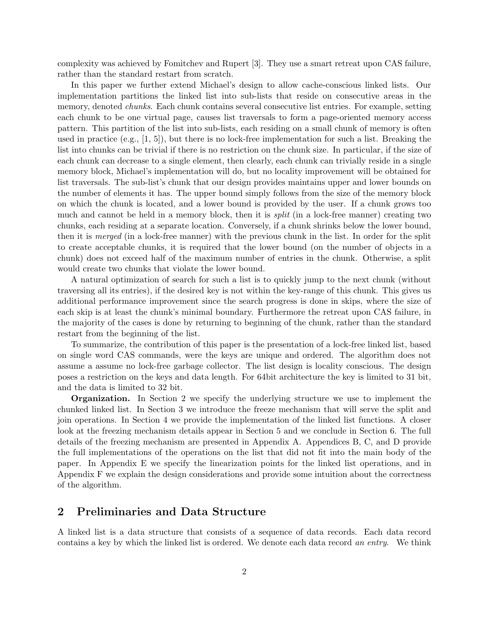complexity was achieved by Fomitchev and Rupert [3]. They use a smart retreat upon CAS failure, rather than the standard restart from scratch.

In this paper we further extend Michael's design to allow cache-conscious linked lists. Our implementation partitions the linked list into sub-lists that reside on consecutive areas in the memory, denoted chunks. Each chunk contains several consecutive list entries. For example, setting each chunk to be one virtual page, causes list traversals to form a page-oriented memory access pattern. This partition of the list into sub-lists, each residing on a small chunk of memory is often used in practice  $(e.g., [1, 5])$ , but there is no lock-free implementation for such a list. Breaking the list into chunks can be trivial if there is no restriction on the chunk size. In particular, if the size of each chunk can decrease to a single element, then clearly, each chunk can trivially reside in a single memory block, Michael's implementation will do, but no locality improvement will be obtained for list traversals. The sub-list's chunk that our design provides maintains upper and lower bounds on the number of elements it has. The upper bound simply follows from the size of the memory block on which the chunk is located, and a lower bound is provided by the user. If a chunk grows too much and cannot be held in a memory block, then it is *split* (in a lock-free manner) creating two chunks, each residing at a separate location. Conversely, if a chunk shrinks below the lower bound, then it is merged (in a lock-free manner) with the previous chunk in the list. In order for the split to create acceptable chunks, it is required that the lower bound (on the number of objects in a chunk) does not exceed half of the maximum number of entries in the chunk. Otherwise, a split would create two chunks that violate the lower bound.

A natural optimization of search for such a list is to quickly jump to the next chunk (without traversing all its entries), if the desired key is not within the key-range of this chunk. This gives us additional performance improvement since the search progress is done in skips, where the size of each skip is at least the chunk's minimal boundary. Furthermore the retreat upon CAS failure, in the majority of the cases is done by returning to beginning of the chunk, rather than the standard restart from the beginning of the list.

To summarize, the contribution of this paper is the presentation of a lock-free linked list, based on single word CAS commands, were the keys are unique and ordered. The algorithm does not assume a assume no lock-free garbage collector. The list design is locality conscious. The design poses a restriction on the keys and data length. For 64bit architecture the key is limited to 31 bit, and the data is limited to 32 bit.

**Organization.** In Section 2 we specify the underlying structure we use to implement the chunked linked list. In Section 3 we introduce the freeze mechanism that will serve the split and join operations. In Section 4 we provide the implementation of the linked list functions. A closer look at the freezing mechanism details appear in Section 5 and we conclude in Section 6. The full details of the freezing mechanism are presented in Appendix A. Appendices B, C, and D provide the full implementations of the operations on the list that did not fit into the main body of the paper. In Appendix E we specify the linearization points for the linked list operations, and in Appendix F we explain the design considerations and provide some intuition about the correctness of the algorithm.

## 2 Preliminaries and Data Structure

A linked list is a data structure that consists of a sequence of data records. Each data record contains a key by which the linked list is ordered. We denote each data record an entry. We think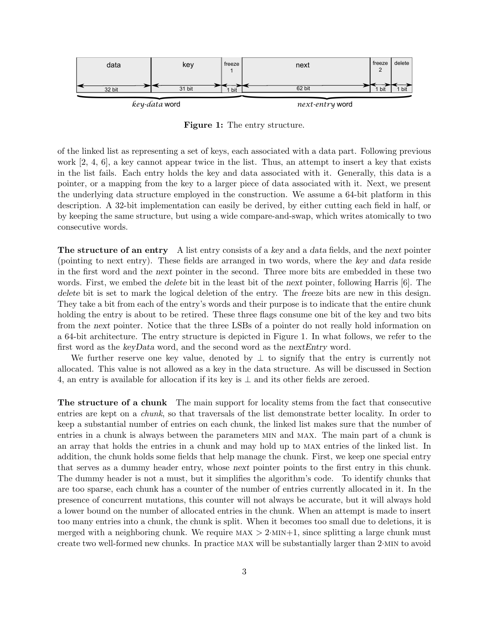

Figure 1: The entry structure.

of the linked list as representing a set of keys, each associated with a data part. Following previous work [2, 4, 6], a key cannot appear twice in the list. Thus, an attempt to insert a key that exists in the list fails. Each entry holds the key and data associated with it. Generally, this data is a pointer, or a mapping from the key to a larger piece of data associated with it. Next, we present the underlying data structure employed in the construction. We assume a 64-bit platform in this description. A 32-bit implementation can easily be derived, by either cutting each field in half, or by keeping the same structure, but using a wide compare-and-swap, which writes atomically to two consecutive words.

The structure of an entry A list entry consists of a key and a data fields, and the next pointer (pointing to next entry). These fields are arranged in two words, where the key and data reside in the first word and the next pointer in the second. Three more bits are embedded in these two words. First, we embed the delete bit in the least bit of the next pointer, following Harris [6]. The delete bit is set to mark the logical deletion of the entry. The freeze bits are new in this design. They take a bit from each of the entry's words and their purpose is to indicate that the entire chunk holding the entry is about to be retired. These three flags consume one bit of the key and two bits from the next pointer. Notice that the three LSBs of a pointer do not really hold information on a 64-bit architecture. The entry structure is depicted in Figure 1. In what follows, we refer to the first word as the keyData word, and the second word as the nextEntry word.

We further reserve one key value, denoted by  $\perp$  to signify that the entry is currently not allocated. This value is not allowed as a key in the data structure. As will be discussed in Section 4, an entry is available for allocation if its key is  $\perp$  and its other fields are zeroed.

The structure of a chunk The main support for locality stems from the fact that consecutive entries are kept on a chunk, so that traversals of the list demonstrate better locality. In order to keep a substantial number of entries on each chunk, the linked list makes sure that the number of entries in a chunk is always between the parameters min and max. The main part of a chunk is an array that holds the entries in a chunk and may hold up to max entries of the linked list. In addition, the chunk holds some fields that help manage the chunk. First, we keep one special entry that serves as a dummy header entry, whose next pointer points to the first entry in this chunk. The dummy header is not a must, but it simplifies the algorithm's code. To identify chunks that are too sparse, each chunk has a counter of the number of entries currently allocated in it. In the presence of concurrent mutations, this counter will not always be accurate, but it will always hold a lower bound on the number of allocated entries in the chunk. When an attempt is made to insert too many entries into a chunk, the chunk is split. When it becomes too small due to deletions, it is merged with a neighboring chunk. We require  $MAX > 2 \cdot MIN+1$ , since splitting a large chunk must create two well-formed new chunks. In practice max will be substantially larger than 2·min to avoid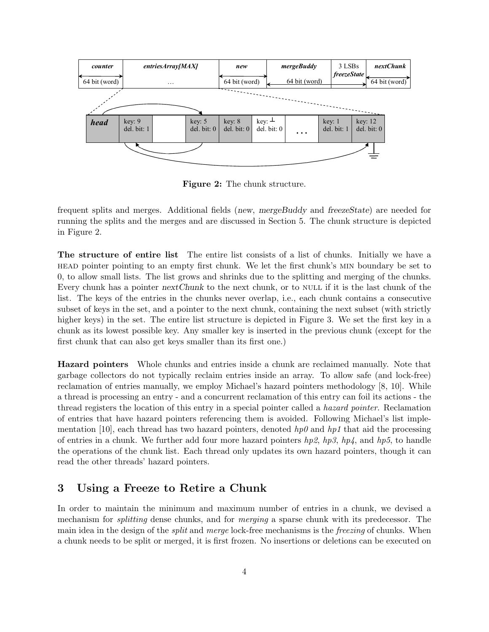

Figure 2: The chunk structure.

frequent splits and merges. Additional fields (new, mergeBuddy and freezeState) are needed for running the splits and the merges and are discussed in Section 5. The chunk structure is depicted in Figure 2.

The structure of entire list The entire list consists of a list of chunks. Initially we have a head pointer pointing to an empty first chunk. We let the first chunk's min boundary be set to 0, to allow small lists. The list grows and shrinks due to the splitting and merging of the chunks. Every chunk has a pointer nextChunk to the next chunk, or to NULL if it is the last chunk of the list. The keys of the entries in the chunks never overlap, i.e., each chunk contains a consecutive subset of keys in the set, and a pointer to the next chunk, containing the next subset (with strictly higher keys) in the set. The entire list structure is depicted in Figure 3. We set the first key in a chunk as its lowest possible key. Any smaller key is inserted in the previous chunk (except for the first chunk that can also get keys smaller than its first one.)

Hazard pointers Whole chunks and entries inside a chunk are reclaimed manually. Note that garbage collectors do not typically reclaim entries inside an array. To allow safe (and lock-free) reclamation of entries manually, we employ Michael's hazard pointers methodology [8, 10]. While a thread is processing an entry - and a concurrent reclamation of this entry can foil its actions - the thread registers the location of this entry in a special pointer called a hazard pointer. Reclamation of entries that have hazard pointers referencing them is avoided. Following Michael's list implementation [10], each thread has two hazard pointers, denoted  $hp0$  and  $hp1$  that aid the processing of entries in a chunk. We further add four more hazard pointers  $hp2$ ,  $hp3$ ,  $hp4$ , and  $hp5$ , to handle the operations of the chunk list. Each thread only updates its own hazard pointers, though it can read the other threads' hazard pointers.

## 3 Using a Freeze to Retire a Chunk

In order to maintain the minimum and maximum number of entries in a chunk, we devised a mechanism for *splitting* dense chunks, and for *merging* a sparse chunk with its predecessor. The main idea in the design of the *split* and *merge* lock-free mechanisms is the *freezing* of chunks. When a chunk needs to be split or merged, it is first frozen. No insertions or deletions can be executed on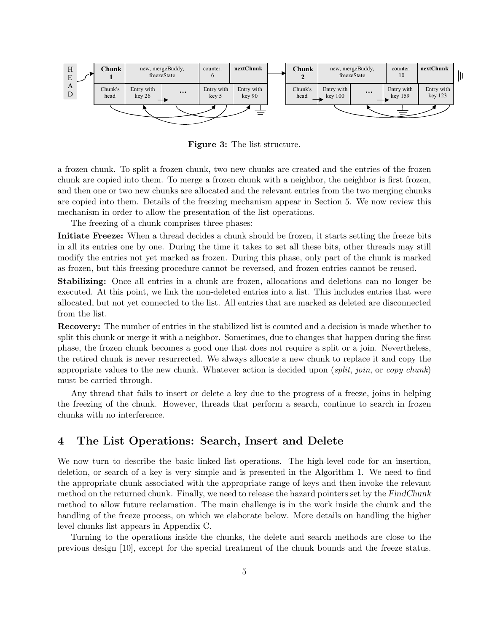

Figure 3: The list structure.

a frozen chunk. To split a frozen chunk, two new chunks are created and the entries of the frozen chunk are copied into them. To merge a frozen chunk with a neighbor, the neighbor is first frozen, and then one or two new chunks are allocated and the relevant entries from the two merging chunks are copied into them. Details of the freezing mechanism appear in Section 5. We now review this mechanism in order to allow the presentation of the list operations.

The freezing of a chunk comprises three phases:

Initiate Freeze: When a thread decides a chunk should be frozen, it starts setting the freeze bits in all its entries one by one. During the time it takes to set all these bits, other threads may still modify the entries not yet marked as frozen. During this phase, only part of the chunk is marked as frozen, but this freezing procedure cannot be reversed, and frozen entries cannot be reused.

Stabilizing: Once all entries in a chunk are frozen, allocations and deletions can no longer be executed. At this point, we link the non-deleted entries into a list. This includes entries that were allocated, but not yet connected to the list. All entries that are marked as deleted are disconnected from the list.

Recovery: The number of entries in the stabilized list is counted and a decision is made whether to split this chunk or merge it with a neighbor. Sometimes, due to changes that happen during the first phase, the frozen chunk becomes a good one that does not require a split or a join. Nevertheless, the retired chunk is never resurrected. We always allocate a new chunk to replace it and copy the appropriate values to the new chunk. Whatever action is decided upon (split, join, or copy chunk) must be carried through.

Any thread that fails to insert or delete a key due to the progress of a freeze, joins in helping the freezing of the chunk. However, threads that perform a search, continue to search in frozen chunks with no interference.

## 4 The List Operations: Search, Insert and Delete

We now turn to describe the basic linked list operations. The high-level code for an insertion, deletion, or search of a key is very simple and is presented in the Algorithm 1. We need to find the appropriate chunk associated with the appropriate range of keys and then invoke the relevant method on the returned chunk. Finally, we need to release the hazard pointers set by the FindChunk method to allow future reclamation. The main challenge is in the work inside the chunk and the handling of the freeze process, on which we elaborate below. More details on handling the higher level chunks list appears in Appendix C.

Turning to the operations inside the chunks, the delete and search methods are close to the previous design [10], except for the special treatment of the chunk bounds and the freeze status.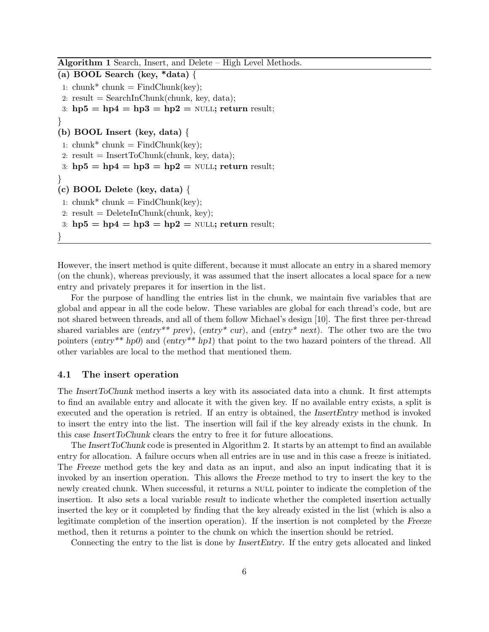Algorithm 1 Search, Insert, and Delete – High Level Methods. (a) BOOL Search (key, \*data) { 1: chunk<sup>\*</sup> chunk = FindChunk(key); 2:  $result = SearchInChunk(chunk, key, data);$ 3:  $hp5 = hp4 = hp3 = hp2 = NULL; return result;$ } (b) BOOL Insert (key, data) { 1: chunk<sup>\*</sup> chunk = FindChunk(key); 2:  $result = InsertToChunk(chunk, key, data);$ 3:  $hp5 = hp4 = hp3 = hp2 = NULL$ ; return result; } (c) BOOL Delete (key, data) { 1: chunk<sup>\*</sup> chunk = FindChunk(key); 2:  $result = DeletelnChunk(chunk, key);$ 3:  $hp5 = hp4 = hp3 = hp2 = NULL$ ; return result; }

However, the insert method is quite different, because it must allocate an entry in a shared memory (on the chunk), whereas previously, it was assumed that the insert allocates a local space for a new entry and privately prepares it for insertion in the list.

For the purpose of handling the entries list in the chunk, we maintain five variables that are global and appear in all the code below. These variables are global for each thread's code, but are not shared between threads, and all of them follow Michael's design [10]. The first three per-thread shared variables are (entry\*\* prev), (entry\* cur), and (entry\* next). The other two are the two pointers (entry\*\* hp0) and (entry\*\* hp1) that point to the two hazard pointers of the thread. All other variables are local to the method that mentioned them.

#### 4.1 The insert operation

The InsertToChunk method inserts a key with its associated data into a chunk. It first attempts to find an available entry and allocate it with the given key. If no available entry exists, a split is executed and the operation is retried. If an entry is obtained, the InsertEntry method is invoked to insert the entry into the list. The insertion will fail if the key already exists in the chunk. In this case InsertToChunk clears the entry to free it for future allocations.

The InsertToChunk code is presented in Algorithm 2. It starts by an attempt to find an available entry for allocation. A failure occurs when all entries are in use and in this case a freeze is initiated. The Freeze method gets the key and data as an input, and also an input indicating that it is invoked by an insertion operation. This allows the Freeze method to try to insert the key to the newly created chunk. When successful, it returns a NULL pointer to indicate the completion of the insertion. It also sets a local variable result to indicate whether the completed insertion actually inserted the key or it completed by finding that the key already existed in the list (which is also a legitimate completion of the insertion operation). If the insertion is not completed by the Freeze method, then it returns a pointer to the chunk on which the insertion should be retried.

Connecting the entry to the list is done by InsertEntry. If the entry gets allocated and linked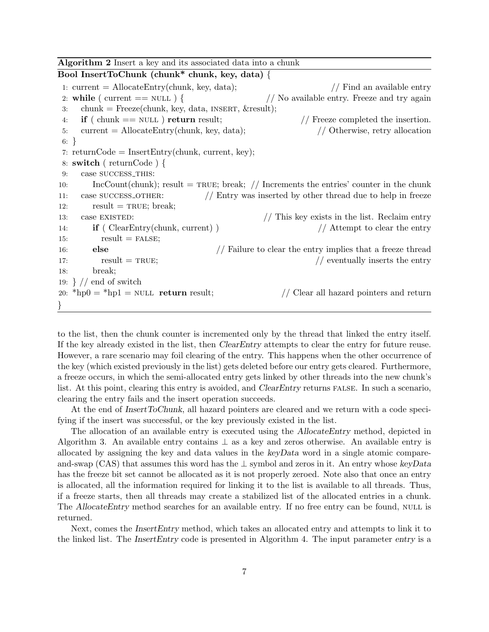Algorithm 2 Insert a key and its associated data into a chunk Bool InsertToChunk (chunk\* chunk, key, data) { 1: current = AllocateEntry(chunk, key, data); // Find an available entry 2: while ( current  $=$  NULL ) {  $\frac{1}{2}$  // No available entry. Freeze and try again 3: chunk =  $Freeze(chunk, key, data, INSENT, & result);$ 4: if ( chunk  $=$   $\text{NULL}$  ) return result;  $//$  Freeze completed the insertion. 5: current = AllocateEntry(chunk, key, data);  $//$  Otherwise, retry allocation 6: } 7:  $returnCode = InsertEntry(chunk, current, key);$ 8: switch ( returnCode ) { 9: case SUCCESS\_THIS: 10: IncCount(chunk); result = TRUE; break;  $//$  Increments the entries' counter in the chunk 11: case success other: // Entry was inserted by other thread due to help in freeze 12: result =  $TRUE$ ; break; 13: case EXISTED:  $// This key exists in the list. Reclaim entry$ 14: **if** ( ClearEntry(chunk, current) ) // Attempt to clear the entry 15:  $result = FALSE;$ 16: else  $\frac{1}{2}$  Failure to clear the entry implies that a freeze thread 17: result = TRUE;  $\frac{17}{2}$  result = TRUE; 18: break; 19: } // end of switch 20:  $*$ hp0 =  $*$ hp1 = NULL return result; // Clear all hazard pointers and return }

to the list, then the chunk counter is incremented only by the thread that linked the entry itself. If the key already existed in the list, then ClearEntry attempts to clear the entry for future reuse. However, a rare scenario may foil clearing of the entry. This happens when the other occurrence of the key (which existed previously in the list) gets deleted before our entry gets cleared. Furthermore, a freeze occurs, in which the semi-allocated entry gets linked by other threads into the new chunk's list. At this point, clearing this entry is avoided, and *ClearEntry* returns FALSE. In such a scenario, clearing the entry fails and the insert operation succeeds.

At the end of InsertToChunk, all hazard pointers are cleared and we return with a code specifying if the insert was successful, or the key previously existed in the list.

The allocation of an available entry is executed using the AllocateEntry method, depicted in Algorithm 3. An available entry contains  $\perp$  as a key and zeros otherwise. An available entry is allocated by assigning the key and data values in the keyData word in a single atomic compareand-swap (CAS) that assumes this word has the  $\perp$  symbol and zeros in it. An entry whose keyData has the freeze bit set cannot be allocated as it is not properly zeroed. Note also that once an entry is allocated, all the information required for linking it to the list is available to all threads. Thus, if a freeze starts, then all threads may create a stabilized list of the allocated entries in a chunk. The AllocateEntry method searches for an available entry. If no free entry can be found, NULL is returned.

Next, comes the InsertEntry method, which takes an allocated entry and attempts to link it to the linked list. The InsertEntry code is presented in Algorithm 4. The input parameter entry is a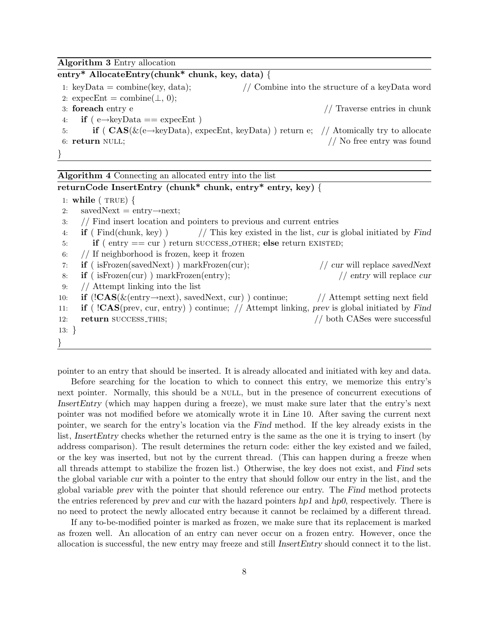Algorithm 3 Entry allocation

entry\* AllocateEntry(chunk\* chunk, key, data) { 1: keyData = combine(key, data);  $//$  Combine into the structure of a keyData word 2: expecEnt = combine( $\perp$ , 0); 3: **foreach** entry e // Traverse entries in chunk 4: **if** ( $e \rightarrow \text{keyData} == \text{expectEnt}$ ) 5: if (  $CAS(\&e\rightarrow\text{keyData})$ , expecEnt, keyData) ) return e; // Atomically try to allocate 6: **return** NULL;  $\frac{1}{2}$  (1)  $\frac{1}{2}$  (1)  $\frac{1}{2}$  (1)  $\frac{1}{2}$  (1)  $\frac{1}{2}$  (1)  $\frac{1}{2}$  (1)  $\frac{1}{2}$  (1)  $\frac{1}{2}$  (1)  $\frac{1}{2}$  (1)  $\frac{1}{2}$  (1)  $\frac{1}{2}$  (1)  $\frac{1}{2}$  (1)  $\frac{1}{2}$  (1)  $\frac{1}{2}$  (1)  $\frac{1}{2}$ }

#### Algorithm 4 Connecting an allocated entry into the list

| returnCode InsertEntry (chunk* chunk, entry* entry, key) { |                                                                                                          |                                 |  |  |
|------------------------------------------------------------|----------------------------------------------------------------------------------------------------------|---------------------------------|--|--|
|                                                            | 1: while $(\text{TRUE})$ {                                                                               |                                 |  |  |
| 2:                                                         | $savedNext = entry \rightarrow next;$                                                                    |                                 |  |  |
| 3:                                                         | // Find insert location and pointers to previous and current entries                                     |                                 |  |  |
| 4:                                                         | <b>if</b> (Find(chunk, key)) $\frac{1}{2}$ This key existed in the list, cur is global initiated by Find |                                 |  |  |
| 5:                                                         | if ( $entry == cur$ ) return SUCCESS_OTHER; else return EXISTED;                                         |                                 |  |  |
| 6:                                                         | // If neighborhood is frozen, keep it frozen                                                             |                                 |  |  |
| 7:                                                         | $if$ ( $isFrozen(savedNext)$ ) mark $Frozen(cur);$                                                       | // cur will replace saved Next  |  |  |
| 8:                                                         | if (isFrozen(cur)) markFrozen(entry);                                                                    | $//$ entry will replace cur     |  |  |
| 9:                                                         | // Attempt linking into the list                                                                         |                                 |  |  |
| 10:                                                        | <b>if</b> ( $!CAS(\&(entry \rightarrow next), savedNext, cur)$ ) continue; // Attempt setting next field |                                 |  |  |
| 11:                                                        | <b>if</b> ( $!CAS$ )(prev, cur, entry) continue; // Attempt linking, prev is global initiated by Find    |                                 |  |  |
| 12:                                                        | return SUCCESS_THIS;                                                                                     | $//$ both CASes were successful |  |  |
| $13: \}$                                                   |                                                                                                          |                                 |  |  |
|                                                            |                                                                                                          |                                 |  |  |

pointer to an entry that should be inserted. It is already allocated and initiated with key and data.

Before searching for the location to which to connect this entry, we memorize this entry's next pointer. Normally, this should be a NULL, but in the presence of concurrent executions of InsertEntry (which may happen during a freeze), we must make sure later that the entry's next pointer was not modified before we atomically wrote it in Line 10. After saving the current next pointer, we search for the entry's location via the Find method. If the key already exists in the list, InsertEntry checks whether the returned entry is the same as the one it is trying to insert (by address comparison). The result determines the return code: either the key existed and we failed, or the key was inserted, but not by the current thread. (This can happen during a freeze when all threads attempt to stabilize the frozen list.) Otherwise, the key does not exist, and Find sets the global variable cur with a pointer to the entry that should follow our entry in the list, and the global variable prev with the pointer that should reference our entry. The Find method protects the entries referenced by prev and cur with the hazard pointers hp1 and hp0, respectively. There is no need to protect the newly allocated entry because it cannot be reclaimed by a different thread.

If any to-be-modified pointer is marked as frozen, we make sure that its replacement is marked as frozen well. An allocation of an entry can never occur on a frozen entry. However, once the allocation is successful, the new entry may freeze and still InsertEntry should connect it to the list.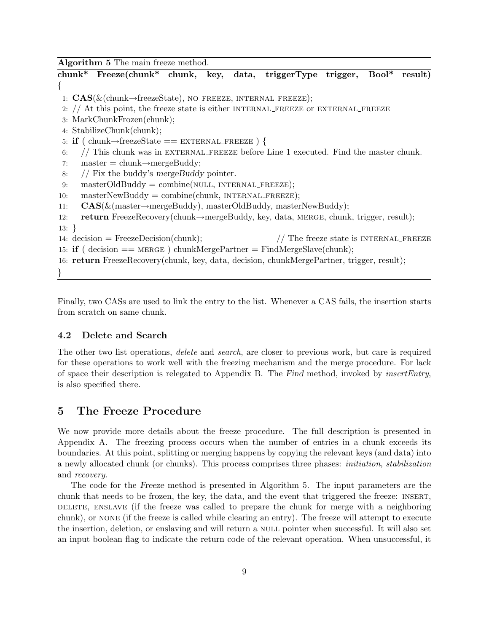Algorithm 5 The main freeze method.

```
chunk* Freeze(chunk* chunk, key, data, triggerType trigger, Bool* result)
{
 1: \text{CAS}(\&\text{chunk}\rightarrow\text{freezeState}), NO_FREEZE, INTERNAL_FREEZE);
 2: // At this point, the freeze state is either INTERNAL_FREEZE OF EXTERNAL_FREEZE
 3: MarkChunkFrozen(chunk);
 4: StabilizeChunk(chunk);
 5: if ( chunk\rightarrowfreezeState == EXTERNAL_FREEZE ) {
 6: // This chunk was in EXTERNAL_FREEZE before Line 1 executed. Find the master chunk.
 7: master = chunk\rightarrowmergeBuddy;
 8: // Fix the buddy's mergeBuddy pointer.9: masterOldBuddy = combine(NULL,INTERNAL_FREEZE);10: masterNewBuddy = combine(chunk, INTERNAL_FREEZE);
11: CAS(&(master→mergeBuddy), masterOldBuddy, masterNewBuddy);
12: return FreezeRecovery(chunk→mergeBuddy, key, data, merge, chunk, trigger, result);
13: }
14: \text{decision} = \text{FreezeDecision}(\text{chunk}); \frac{1}{\text{The freeze state}} is internal freeze
15: if ( decision == MERGE ) chunkMergePartner = FindMergeSlave(chunk);
16: return FreezeRecovery(chunk, key, data, decision, chunkMergePartner, trigger, result);
}
```
Finally, two CASs are used to link the entry to the list. Whenever a CAS fails, the insertion starts from scratch on same chunk.

#### 4.2 Delete and Search

The other two list operations, *delete* and *search*, are closer to previous work, but care is required for these operations to work well with the freezing mechanism and the merge procedure. For lack of space their description is relegated to Appendix B. The Find method, invoked by insertEntry, is also specified there.

### 5 The Freeze Procedure

We now provide more details about the freeze procedure. The full description is presented in Appendix A. The freezing process occurs when the number of entries in a chunk exceeds its boundaries. At this point, splitting or merging happens by copying the relevant keys (and data) into a newly allocated chunk (or chunks). This process comprises three phases: initiation, stabilization and recovery.

The code for the Freeze method is presented in Algorithm 5. The input parameters are the chunk that needs to be frozen, the key, the data, and the event that triggered the freeze: insert, DELETE, ENSLAVE (if the freeze was called to prepare the chunk for merge with a neighboring chunk), or none (if the freeze is called while clearing an entry). The freeze will attempt to execute the insertion, deletion, or enslaving and will return a NULL pointer when successful. It will also set an input boolean flag to indicate the return code of the relevant operation. When unsuccessful, it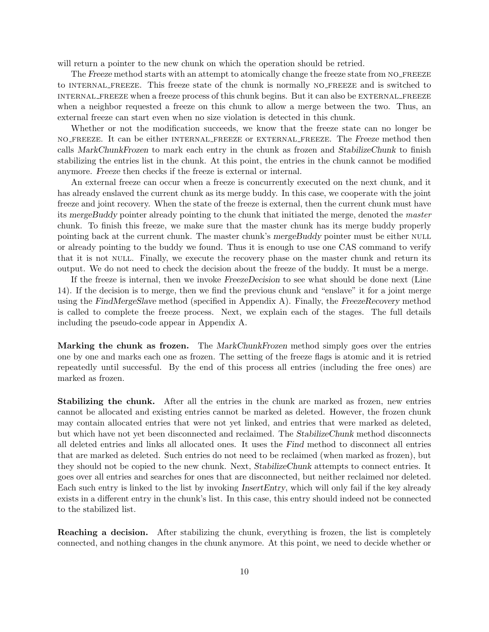will return a pointer to the new chunk on which the operation should be retried.

The Freeze method starts with an attempt to atomically change the freeze state from NO\_FREEZE to internal freeze. This freeze state of the chunk is normally no freeze and is switched to INTERNAL FREEZE when a freeze process of this chunk begins. But it can also be EXTERNAL FREEZE when a neighbor requested a freeze on this chunk to allow a merge between the two. Thus, an external freeze can start even when no size violation is detected in this chunk.

Whether or not the modification succeeds, we know that the freeze state can no longer be no freeze. It can be either internal freeze or external freeze. The Freeze method then calls MarkChunkFrozen to mark each entry in the chunk as frozen and StabilizeChunk to finish stabilizing the entries list in the chunk. At this point, the entries in the chunk cannot be modified anymore. Freeze then checks if the freeze is external or internal.

An external freeze can occur when a freeze is concurrently executed on the next chunk, and it has already enslaved the current chunk as its merge buddy. In this case, we cooperate with the joint freeze and joint recovery. When the state of the freeze is external, then the current chunk must have its mergeBuddy pointer already pointing to the chunk that initiated the merge, denoted the master chunk. To finish this freeze, we make sure that the master chunk has its merge buddy properly pointing back at the current chunk. The master chunk's mergeBuddy pointer must be either NULL or already pointing to the buddy we found. Thus it is enough to use one CAS command to verify that it is not null. Finally, we execute the recovery phase on the master chunk and return its output. We do not need to check the decision about the freeze of the buddy. It must be a merge.

If the freeze is internal, then we invoke FreezeDecision to see what should be done next (Line 14). If the decision is to merge, then we find the previous chunk and "enslave" it for a joint merge using the FindMergeSlave method (specified in Appendix A). Finally, the FreezeRecovery method is called to complete the freeze process. Next, we explain each of the stages. The full details including the pseudo-code appear in Appendix A.

Marking the chunk as frozen. The MarkChunkFrozen method simply goes over the entries one by one and marks each one as frozen. The setting of the freeze flags is atomic and it is retried repeatedly until successful. By the end of this process all entries (including the free ones) are marked as frozen.

Stabilizing the chunk. After all the entries in the chunk are marked as frozen, new entries cannot be allocated and existing entries cannot be marked as deleted. However, the frozen chunk may contain allocated entries that were not yet linked, and entries that were marked as deleted, but which have not yet been disconnected and reclaimed. The StabilizeChunk method disconnects all deleted entries and links all allocated ones. It uses the Find method to disconnect all entries that are marked as deleted. Such entries do not need to be reclaimed (when marked as frozen), but they should not be copied to the new chunk. Next, StabilizeChunk attempts to connect entries. It goes over all entries and searches for ones that are disconnected, but neither reclaimed nor deleted. Each such entry is linked to the list by invoking InsertEntry, which will only fail if the key already exists in a different entry in the chunk's list. In this case, this entry should indeed not be connected to the stabilized list.

Reaching a decision. After stabilizing the chunk, everything is frozen, the list is completely connected, and nothing changes in the chunk anymore. At this point, we need to decide whether or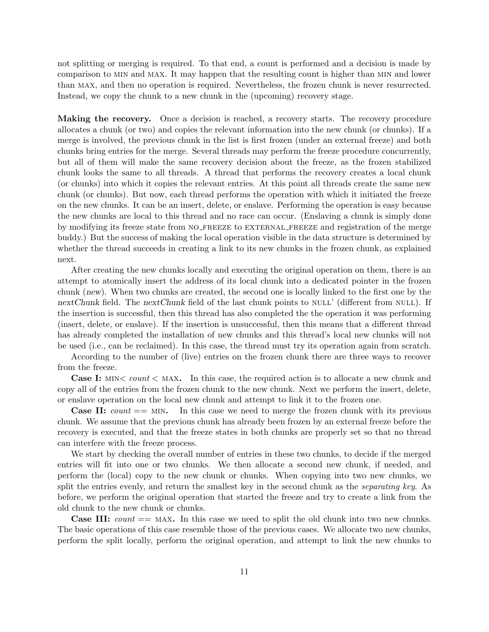not splitting or merging is required. To that end, a count is performed and a decision is made by comparison to min and max. It may happen that the resulting count is higher than min and lower than max, and then no operation is required. Nevertheless, the frozen chunk is never resurrected. Instead, we copy the chunk to a new chunk in the (upcoming) recovery stage.

Making the recovery. Once a decision is reached, a recovery starts. The recovery procedure allocates a chunk (or two) and copies the relevant information into the new chunk (or chunks). If a merge is involved, the previous chunk in the list is first frozen (under an external freeze) and both chunks bring entries for the merge. Several threads may perform the freeze procedure concurrently, but all of them will make the same recovery decision about the freeze, as the frozen stabilized chunk looks the same to all threads. A thread that performs the recovery creates a local chunk (or chunks) into which it copies the relevant entries. At this point all threads create the same new chunk (or chunks). But now, each thread performs the operation with which it initiated the freeze on the new chunks. It can be an insert, delete, or enslave. Performing the operation is easy because the new chunks are local to this thread and no race can occur. (Enslaving a chunk is simply done by modifying its freeze state from NO\_FREEZE to EXTERNAL\_FREEZE and registration of the merge buddy.) But the success of making the local operation visible in the data structure is determined by whether the thread succeeds in creating a link to its new chunks in the frozen chunk, as explained next.

After creating the new chunks locally and executing the original operation on them, there is an attempt to atomically insert the address of its local chunk into a dedicated pointer in the frozen chunk (new). When two chunks are created, the second one is locally linked to the first one by the nextChunk field. The nextChunk field of the last chunk points to  $NUL$  (different from  $NUL$ ). If the insertion is successful, then this thread has also completed the the operation it was performing (insert, delete, or enslave). If the insertion is unsuccessful, then this means that a different thread has already completed the installation of new chunks and this thread's local new chunks will not be used (i.e., can be reclaimed). In this case, the thread must try its operation again from scratch.

According to the number of (live) entries on the frozen chunk there are three ways to recover from the freeze.

**Case I:** MIN< count  $\lt$  MAX. In this case, the required action is to allocate a new chunk and copy all of the entries from the frozen chunk to the new chunk. Next we perform the insert, delete, or enslave operation on the local new chunk and attempt to link it to the frozen one.

**Case II:** count  $==$  MIN. In this case we need to merge the frozen chunk with its previous chunk. We assume that the previous chunk has already been frozen by an external freeze before the recovery is executed, and that the freeze states in both chunks are properly set so that no thread can interfere with the freeze process.

We start by checking the overall number of entries in these two chunks, to decide if the merged entries will fit into one or two chunks. We then allocate a second new chunk, if needed, and perform the (local) copy to the new chunk or chunks. When copying into two new chunks, we split the entries evenly, and return the smallest key in the second chunk as the *separating key*. As before, we perform the original operation that started the freeze and try to create a link from the old chunk to the new chunk or chunks.

**Case III:** count  $==$  MAX. In this case we need to split the old chunk into two new chunks. The basic operations of this case resemble those of the previous cases. We allocate two new chunks, perform the split locally, perform the original operation, and attempt to link the new chunks to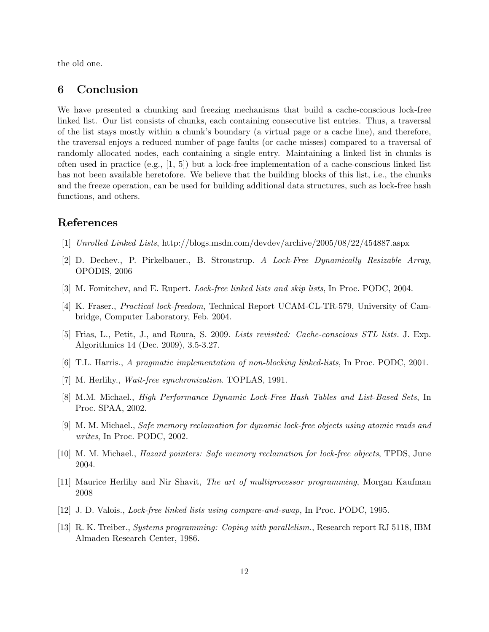the old one.

## 6 Conclusion

We have presented a chunking and freezing mechanisms that build a cache-conscious lock-free linked list. Our list consists of chunks, each containing consecutive list entries. Thus, a traversal of the list stays mostly within a chunk's boundary (a virtual page or a cache line), and therefore, the traversal enjoys a reduced number of page faults (or cache misses) compared to a traversal of randomly allocated nodes, each containing a single entry. Maintaining a linked list in chunks is often used in practice  $(e.g., [1, 5])$  but a lock-free implementation of a cache-conscious linked list has not been available heretofore. We believe that the building blocks of this list, i.e., the chunks and the freeze operation, can be used for building additional data structures, such as lock-free hash functions, and others.

## References

- [1] Unrolled Linked Lists, http://blogs.msdn.com/devdev/archive/2005/08/22/454887.aspx
- [2] D. Dechev., P. Pirkelbauer., B. Stroustrup. A Lock-Free Dynamically Resizable Array, OPODIS, 2006
- [3] M. Fomitchev, and E. Rupert. Lock-free linked lists and skip lists, In Proc. PODC, 2004.
- [4] K. Fraser., Practical lock-freedom, Technical Report UCAM-CL-TR-579, University of Cambridge, Computer Laboratory, Feb. 2004.
- [5] Frias, L., Petit, J., and Roura, S. 2009. Lists revisited: Cache-conscious STL lists. J. Exp. Algorithmics 14 (Dec. 2009), 3.5-3.27.
- [6] T.L. Harris., A pragmatic implementation of non-blocking linked-lists, In Proc. PODC, 2001.
- [7] M. Herlihy., *Wait-free synchronization*. TOPLAS, 1991.
- [8] M.M. Michael., High Performance Dynamic Lock-Free Hash Tables and List-Based Sets, In Proc. SPAA, 2002.
- [9] M. M. Michael., Safe memory reclamation for dynamic lock-free objects using atomic reads and writes, In Proc. PODC, 2002.
- [10] M. M. Michael., Hazard pointers: Safe memory reclamation for lock-free objects, TPDS, June 2004.
- [11] Maurice Herlihy and Nir Shavit, The art of multiprocessor programming, Morgan Kaufman 2008
- [12] J. D. Valois., Lock-free linked lists using compare-and-swap, In Proc. PODC, 1995.
- [13] R. K. Treiber., Systems programming: Coping with parallelism., Research report RJ 5118, IBM Almaden Research Center, 1986.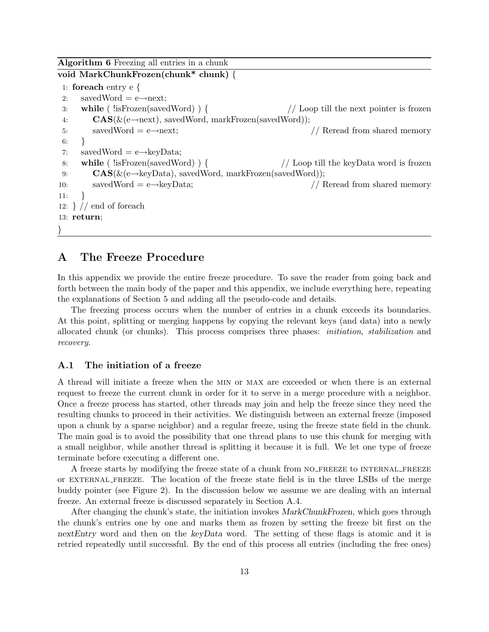```
Algorithm 6 Freezing all entries in a chunk
void MarkChunkFrozen(chunk* chunk) {
 1: foreach entry e \{2: savedWord = e \rightarrownext;
 3: while ( !isFrozen(savedWord) ) { // Loop till the next pointer is frozen
 4: CAS(\&(e \rightarrow next),\text{ savedWord},\text{markFrozen}(\text{savedWord}));
 5: savedWord = e→next; \frac{1}{2} / Reread from shared memory
 6: {}^{6:}7: savedWord = e \rightarrow \text{keyData};8: while ( !isFrozen(savedWord) ) { // Loop till the keyData word is frozen
 9: \mathbf{CAS}(\&\text{(e}\rightarrow\text{keyData}),\text{ savedWord},\text{markFrozen}(\text{savedWord}));
10: savedWord = e→keyData; \frac{10}{5} Reread from shared memory
11: }
12: \frac{1}{2} // end of foreach
13: return;
}
```
## A The Freeze Procedure

In this appendix we provide the entire freeze procedure. To save the reader from going back and forth between the main body of the paper and this appendix, we include everything here, repeating the explanations of Section 5 and adding all the pseudo-code and details.

The freezing process occurs when the number of entries in a chunk exceeds its boundaries. At this point, splitting or merging happens by copying the relevant keys (and data) into a newly allocated chunk (or chunks). This process comprises three phases: initiation, stabilization and recovery.

#### A.1 The initiation of a freeze

A thread will initiate a freeze when the min or max are exceeded or when there is an external request to freeze the current chunk in order for it to serve in a merge procedure with a neighbor. Once a freeze process has started, other threads may join and help the freeze since they need the resulting chunks to proceed in their activities. We distinguish between an external freeze (imposed upon a chunk by a sparse neighbor) and a regular freeze, using the freeze state field in the chunk. The main goal is to avoid the possibility that one thread plans to use this chunk for merging with a small neighbor, while another thread is splitting it because it is full. We let one type of freeze terminate before executing a different one.

A freeze starts by modifying the freeze state of a chunk from NO\_FREEZE to INTERNAL\_FREEZE or external freeze. The location of the freeze state field is in the three LSBs of the merge buddy pointer (see Figure 2). In the discussion below we assume we are dealing with an internal freeze. An external freeze is discussed separately in Section A.4.

After changing the chunk's state, the initiation invokes MarkChunkFrozen, which goes through the chunk's entries one by one and marks them as frozen by setting the freeze bit first on the nextEntry word and then on the keyData word. The setting of these flags is atomic and it is retried repeatedly until successful. By the end of this process all entries (including the free ones)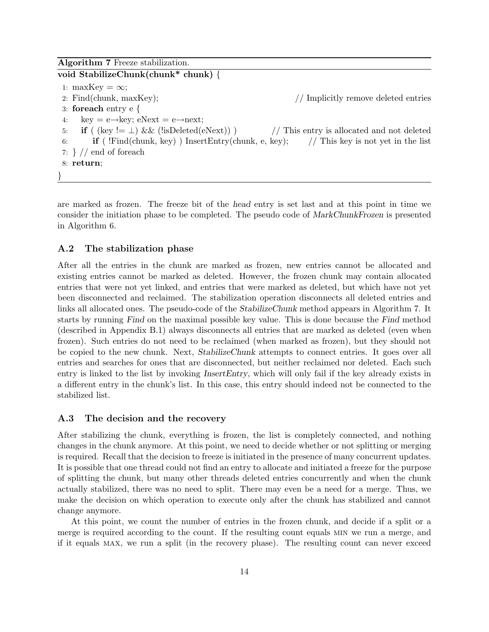Algorithm 7 Freeze stabilization. void StabilizeChunk(chunk\* chunk) { 1: maxKey =  $\infty$ ; 2: Find(chunk, maxKey);  $\frac{1}{2}$  / Implicitly remove deleted entries 3: **foreach** entry  $e \{$ 4: key =  $e \rightarrow \text{key}$ ; eNext =  $e \rightarrow \text{next}$ ; 5: **if** ( (key !=  $\perp$ ) && (!isDeleted(eNext)) ) // This entry is allocated and not deleted 6: **if** ( !Find(chunk, key) ) InsertEntry(chunk, e, key); // This key is not yet in the list 7: } // end of foreach 8: return; }

are marked as frozen. The freeze bit of the head entry is set last and at this point in time we consider the initiation phase to be completed. The pseudo code of MarkChunkFrozen is presented in Algorithm 6.

#### A.2 The stabilization phase

After all the entries in the chunk are marked as frozen, new entries cannot be allocated and existing entries cannot be marked as deleted. However, the frozen chunk may contain allocated entries that were not yet linked, and entries that were marked as deleted, but which have not yet been disconnected and reclaimed. The stabilization operation disconnects all deleted entries and links all allocated ones. The pseudo-code of the StabilizeChunk method appears in Algorithm 7. It starts by running Find on the maximal possible key value. This is done because the Find method (described in Appendix B.1) always disconnects all entries that are marked as deleted (even when frozen). Such entries do not need to be reclaimed (when marked as frozen), but they should not be copied to the new chunk. Next, StabilizeChunk attempts to connect entries. It goes over all entries and searches for ones that are disconnected, but neither reclaimed nor deleted. Each such entry is linked to the list by invoking InsertEntry, which will only fail if the key already exists in a different entry in the chunk's list. In this case, this entry should indeed not be connected to the stabilized list.

#### A.3 The decision and the recovery

After stabilizing the chunk, everything is frozen, the list is completely connected, and nothing changes in the chunk anymore. At this point, we need to decide whether or not splitting or merging is required. Recall that the decision to freeze is initiated in the presence of many concurrent updates. It is possible that one thread could not find an entry to allocate and initiated a freeze for the purpose of splitting the chunk, but many other threads deleted entries concurrently and when the chunk actually stabilized, there was no need to split. There may even be a need for a merge. Thus, we make the decision on which operation to execute only after the chunk has stabilized and cannot change anymore.

At this point, we count the number of entries in the frozen chunk, and decide if a split or a merge is required according to the count. If the resulting count equals min we run a merge, and if it equals max, we run a split (in the recovery phase). The resulting count can never exceed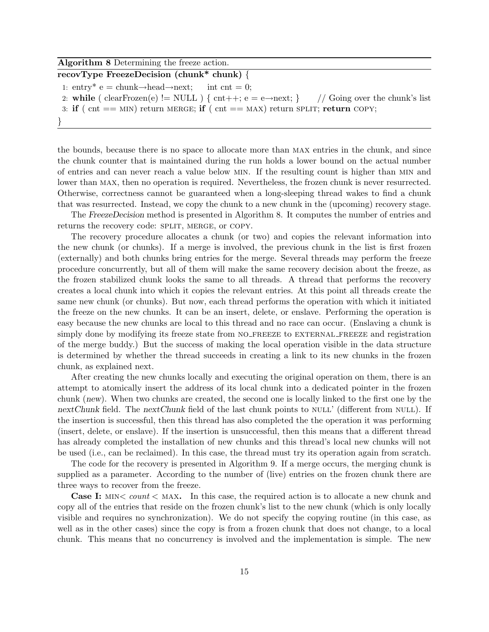| <b>Algorithm 8</b> Determining the freeze action.                                                      |  |  |  |
|--------------------------------------------------------------------------------------------------------|--|--|--|
| recovType FreezeDecision (chunk* chunk) $\{$                                                           |  |  |  |
| 1: $\text{entry}^*$ e = chunk $\rightarrow$ head $\rightarrow$ next; int cnt = 0;                      |  |  |  |
| 2. while (clearFrozen(e) != NULL ) { cnt++; $e = e \rightarrow$ next; } // Going over the chunk's list |  |  |  |
| 3: if ( cnt == MIN) return MERGE; if ( cnt == MAX) return SPLIT; return COPY;                          |  |  |  |
|                                                                                                        |  |  |  |

the bounds, because there is no space to allocate more than max entries in the chunk, and since the chunk counter that is maintained during the run holds a lower bound on the actual number of entries and can never reach a value below min. If the resulting count is higher than min and lower than max, then no operation is required. Nevertheless, the frozen chunk is never resurrected. Otherwise, correctness cannot be guaranteed when a long-sleeping thread wakes to find a chunk that was resurrected. Instead, we copy the chunk to a new chunk in the (upcoming) recovery stage.

The FreezeDecision method is presented in Algorithm 8. It computes the number of entries and returns the recovery code: SPLIT, MERGE, or COPY.

The recovery procedure allocates a chunk (or two) and copies the relevant information into the new chunk (or chunks). If a merge is involved, the previous chunk in the list is first frozen (externally) and both chunks bring entries for the merge. Several threads may perform the freeze procedure concurrently, but all of them will make the same recovery decision about the freeze, as the frozen stabilized chunk looks the same to all threads. A thread that performs the recovery creates a local chunk into which it copies the relevant entries. At this point all threads create the same new chunk (or chunks). But now, each thread performs the operation with which it initiated the freeze on the new chunks. It can be an insert, delete, or enslave. Performing the operation is easy because the new chunks are local to this thread and no race can occur. (Enslaving a chunk is simply done by modifying its freeze state from NO\_FREEZE to EXTERNAL\_FREEZE and registration of the merge buddy.) But the success of making the local operation visible in the data structure is determined by whether the thread succeeds in creating a link to its new chunks in the frozen chunk, as explained next.

After creating the new chunks locally and executing the original operation on them, there is an attempt to atomically insert the address of its local chunk into a dedicated pointer in the frozen chunk (new). When two chunks are created, the second one is locally linked to the first one by the nextChunk field. The nextChunk field of the last chunk points to NULL' (different from NULL). If the insertion is successful, then this thread has also completed the the operation it was performing (insert, delete, or enslave). If the insertion is unsuccessful, then this means that a different thread has already completed the installation of new chunks and this thread's local new chunks will not be used (i.e., can be reclaimed). In this case, the thread must try its operation again from scratch.

The code for the recovery is presented in Algorithm 9. If a merge occurs, the merging chunk is supplied as a parameter. According to the number of (live) entries on the frozen chunk there are three ways to recover from the freeze.

**Case I:** MIN< count  $\lt$  MAX. In this case, the required action is to allocate a new chunk and copy all of the entries that reside on the frozen chunk's list to the new chunk (which is only locally visible and requires no synchronization). We do not specify the copying routine (in this case, as well as in the other cases) since the copy is from a frozen chunk that does not change, to a local chunk. This means that no concurrency is involved and the implementation is simple. The new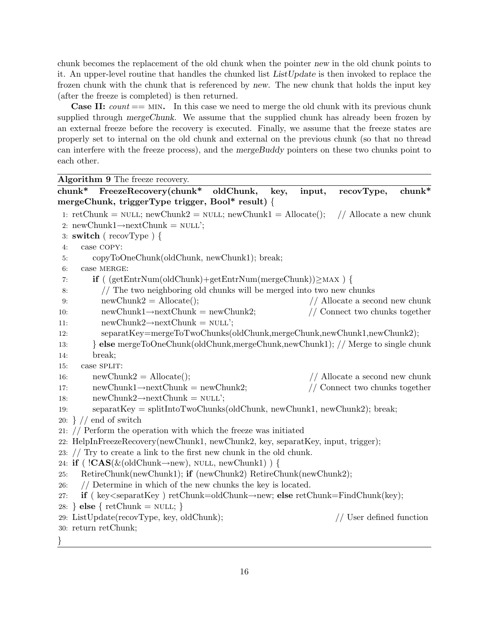chunk becomes the replacement of the old chunk when the pointer new in the old chunk points to it. An upper-level routine that handles the chunked list ListUpdate is then invoked to replace the frozen chunk with the chunk that is referenced by new. The new chunk that holds the input key (after the freeze is completed) is then returned.

**Case II:** count  $=$   $=$   $\text{MIN.}$  In this case we need to merge the old chunk with its previous chunk supplied through mergeChunk. We assume that the supplied chunk has already been frozen by an external freeze before the recovery is executed. Finally, we assume that the freeze states are properly set to internal on the old chunk and external on the previous chunk (so that no thread can interfere with the freeze process), and the mergeBuddy pointers on these two chunks point to each other.

Algorithm 9 The freeze recovery.

chunk\* FreezeRecovery(chunk\* oldChunk, key, input, recovType, chunk\* mergeChunk, triggerType trigger, Bool\* result) { 1: retChunk = NULL; newChunk2 = NULL; newChunk1 = Allocate(); // Allocate a new chunk 2:  $newChunk1 \rightarrow nextChunk = NULL$ ; 3: switch ( recovType ) { 4: case copy: 5: copyToOneChunk(oldChunk, newChunk1); break; 6: case MERGE: 7: if ( (getEntrNum(oldChunk)+getEntrNum(mergeChunk))≥max ) { 8: // The two neighboring old chunks will be merged into two new chunks 9: newChunk2 = Allocate();  $//$  Allocate a second new chunk 10: newChunk1→nextChunk = newChunk2; // Connect two chunks together 11:  $newChunk2 \rightarrow nextChunk = NULL$ ; 12: separatKey=mergeToTwoChunks(oldChunk,mergeChunk,newChunk1,newChunk2); 13: } else mergeToOneChunk(oldChunk,mergeChunk,newChunk1); // Merge to single chunk 14: break; 15: case SPLIT: 16: newChunk2 = Allocate();  $\frac{1}{2}$  // Allocate a second new chunk 17: newChunk1→nextChunk = newChunk2; // Connect two chunks together 18:  $newChunk2 \rightarrow nextChunk = NULL$ ; 19: separatKey = splitIntoTwoChunks(oldChunk, newChunk1, newChunk2); break; 20: } // end of switch 21: // Perform the operation with which the freeze was initiated 22: HelpInFreezeRecovery(newChunk1, newChunk2, key, separatKey, input, trigger); 23: // Try to create a link to the first new chunk in the old chunk. 24: **if** ( $|{\bf CAS}(\&(oldChunk\rightarrow new), NULL, newChunk1)$ ) { 25: RetireChunk(newChunk1); if (newChunk2) RetireChunk(newChunk2); 26:  $//$  Determine in which of the new chunks the key is located. 27: if ( key<separatKey ) retChunk=oldChunk→new; else retChunk=FindChunk(key); 28:  $\}$  else  $\{$  retChunk = NULL;  $\}$ 29: ListUpdate(recovType, key, oldChunk); // User defined function 30: return retChunk; }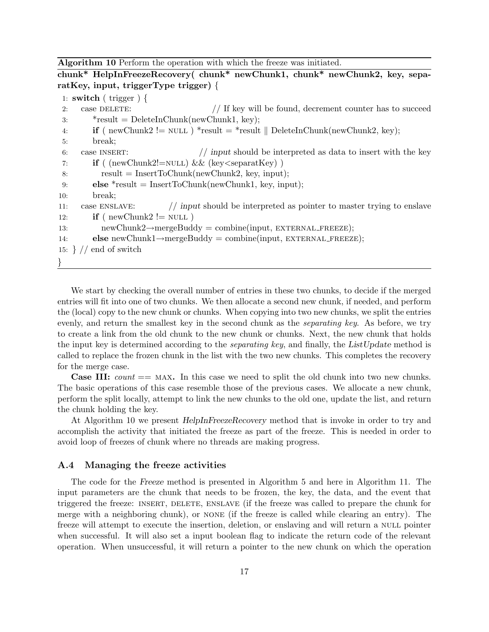Algorithm 10 Perform the operation with which the freeze was initiated.

chunk\* HelpInFreezeRecovery( chunk\* newChunk1, chunk\* newChunk2, key, separatKey, input, triggerType trigger) {

```
1: switch ( trigger ) {
2: case DELETE: // If key will be found, decrement counter has to succeed
3: *result = DeleteInChunk(newChunk1, key);
4: if ( newChunk2 != NULL ) *result = *result || DeleteInChunk(newChunk2, key);
5: break;
6: case INSERT: // input should be interpreted as data to insert with the key
7: if ( (newChunk2!=NULL) \&& (key < separatKey) )
8: result = InsertToChunk(newChunk2, key, input);
9: else *result = InsertToChunk(newChunk1, key, input);
10: break;
11: case enslave: // input should be interpreted as pointer to master trying to enslave
12: if (\text{newChunk2} != \text{NULL})13: newChunk2 \rightarrow mergeBuddy = combine(input, EXTERNAL_FREEZE);14: else newChunk1→mergeBuddy = combine(input, EXTERNAL_FREEZE);
15: \frac{1}{2} // end of switch
}
```
We start by checking the overall number of entries in these two chunks, to decide if the merged entries will fit into one of two chunks. We then allocate a second new chunk, if needed, and perform the (local) copy to the new chunk or chunks. When copying into two new chunks, we split the entries evenly, and return the smallest key in the second chunk as the *separating key*. As before, we try to create a link from the old chunk to the new chunk or chunks. Next, the new chunk that holds the input key is determined according to the separating key, and finally, the ListUpdate method is called to replace the frozen chunk in the list with the two new chunks. This completes the recovery for the merge case.

**Case III:**  $count ==$  MAX. In this case we need to split the old chunk into two new chunks. The basic operations of this case resemble those of the previous cases. We allocate a new chunk, perform the split locally, attempt to link the new chunks to the old one, update the list, and return the chunk holding the key.

At Algorithm 10 we present HelpInFreezeRecovery method that is invoke in order to try and accomplish the activity that initiated the freeze as part of the freeze. This is needed in order to avoid loop of freezes of chunk where no threads are making progress.

#### A.4 Managing the freeze activities

The code for the Freeze method is presented in Algorithm 5 and here in Algorithm 11. The input parameters are the chunk that needs to be frozen, the key, the data, and the event that triggered the freeze: INSERT, DELETE, ENSLAVE (if the freeze was called to prepare the chunk for merge with a neighboring chunk), or none (if the freeze is called while clearing an entry). The freeze will attempt to execute the insertion, deletion, or enslaving and will return a null pointer when successful. It will also set a input boolean flag to indicate the return code of the relevant operation. When unsuccessful, it will return a pointer to the new chunk on which the operation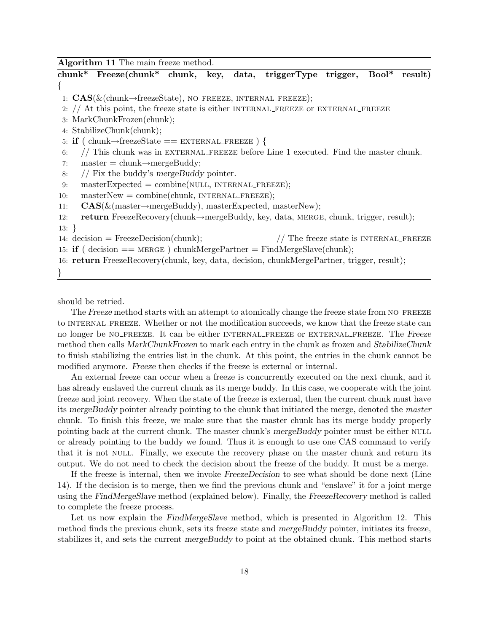Algorithm 11 The main freeze method.

```
chunk* Freeze(chunk* chunk, key, data, triggerType trigger, Bool* result)
{
 1: \text{CAS}(\&\text{chunk}\rightarrow\text{freezeState}), NO_FREEZE, INTERNAL_FREEZE);
 2: // At this point, the freeze state is either INTERNAL_FREEZE OF EXTERNAL_FREEZE
 3: MarkChunkFrozen(chunk);
```
- 4: StabilizeChunk(chunk);
- 5: if ( chunk $\rightarrow$ freezeState == EXTERNAL\_FREEZE ) {
- 6:  $//$  This chunk was in EXTERNAL\_FREEZE before Line 1 executed. Find the master chunk.
- 7: master = chunk $\rightarrow$ mergeBuddy;
- 8:  $// Fix the buddy's mergeBuddy pointer.$
- 9: masterExpected = combine(NULL, INTERNAL\_FREEZE);
- 10:  $masterNew = combine(chunk, INTERNAL_FREEZE);$
- 11:  $\mathbf{CAS}(\&(\text{master}\rightarrow\text{mergeBuddy}),\text{masterExpected},\text{masterNew});$

```
12: return FreezeRecovery(chunk→mergeBuddy, key, data, merge, chunk, trigger, result);
```
13: }

```
14: decision = FreezeDecision(chunk); \frac{1}{2} The freeze state is INTERNAL FREEZE
```
- 15: **if** ( decision  $==$  MERGE ) chunkMergePartner  $=$  FindMergeSlave(chunk);
- 16: return FreezeRecovery(chunk, key, data, decision, chunkMergePartner, trigger, result);
- }

should be retried.

The Freeze method starts with an attempt to atomically change the freeze state from NO\_FREEZE to INTERNAL FREEZE. Whether or not the modification succeeds, we know that the freeze state can no longer be NO\_FREEZE. It can be either INTERNAL\_FREEZE or EXTERNAL\_FREEZE. The Freeze method then calls MarkChunkFrozen to mark each entry in the chunk as frozen and StabilizeChunk to finish stabilizing the entries list in the chunk. At this point, the entries in the chunk cannot be modified anymore. Freeze then checks if the freeze is external or internal.

An external freeze can occur when a freeze is concurrently executed on the next chunk, and it has already enslaved the current chunk as its merge buddy. In this case, we cooperate with the joint freeze and joint recovery. When the state of the freeze is external, then the current chunk must have its mergeBuddy pointer already pointing to the chunk that initiated the merge, denoted the master chunk. To finish this freeze, we make sure that the master chunk has its merge buddy properly pointing back at the current chunk. The master chunk's mergeBuddy pointer must be either NULL or already pointing to the buddy we found. Thus it is enough to use one CAS command to verify that it is not null. Finally, we execute the recovery phase on the master chunk and return its output. We do not need to check the decision about the freeze of the buddy. It must be a merge.

If the freeze is internal, then we invoke FreezeDecision to see what should be done next (Line 14). If the decision is to merge, then we find the previous chunk and "enslave" it for a joint merge using the FindMergeSlave method (explained below). Finally, the FreezeRecovery method is called to complete the freeze process.

Let us now explain the FindMergeSlave method, which is presented in Algorithm 12. This method finds the previous chunk, sets its freeze state and mergeBuddy pointer, initiates its freeze, stabilizes it, and sets the current mergeBuddy to point at the obtained chunk. This method starts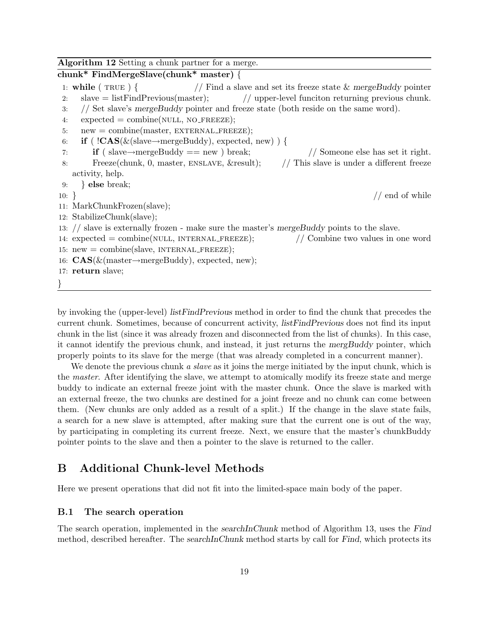| <b>Algorithm 12</b> Setting a chunk partner for a merge.                                           |  |  |  |  |
|----------------------------------------------------------------------------------------------------|--|--|--|--|
| chunk* FindMergeSlave(chunk* master) {                                                             |  |  |  |  |
| // Find a slave and set its freeze state $\&$ merge Buddy pointer<br>1: while $(TRUE)$ $\{$        |  |  |  |  |
| slave = listFindPrevious(master); $//$ upper-level funciton returning previous chunk.<br>2:        |  |  |  |  |
| // Set slave's merge Buddy pointer and freeze state (both reside on the same word).<br>3:          |  |  |  |  |
| $expected = combine(NULL, NO\_FREEZE);$<br>4:                                                      |  |  |  |  |
| $new = combine(master, EXTERNAL_FREEZE);$<br>5:                                                    |  |  |  |  |
| <b>if</b> ( $!CAS(\&$ (slave $\rightarrow$ mergeBuddy), expected, new)) {<br>6:                    |  |  |  |  |
| <b>if</b> (slave $\rightarrow$ mergeBuddy = new) break;<br>// Someone else has set it right.<br>7: |  |  |  |  |
| Freeze(chunk, 0, master, ENSLAVE, & result); // This slave is under a different freeze<br>8:       |  |  |  |  |
| activity, help.                                                                                    |  |  |  |  |
| } else break;<br>9:                                                                                |  |  |  |  |
| // end of while<br>$10: \}$                                                                        |  |  |  |  |
| 11: MarkChunkFrozen(slave);                                                                        |  |  |  |  |
| 12: StabilizeChunk(slave);                                                                         |  |  |  |  |
| 13: // slave is externally frozen - make sure the master's mergeBuddy points to the slave.         |  |  |  |  |
| 14: $expected = combine(NULL, INTERNAL_FREEZE);$<br>// Combine two values in one word              |  |  |  |  |
| 15: $new = combine(slaw, INTERNAL_FREEZE);$                                                        |  |  |  |  |
| 16: $\text{CAS}(\&(\text{master}\rightarrow\text{mergeBuddy})$ , expected, new);                   |  |  |  |  |
| 17: return slave;                                                                                  |  |  |  |  |
| }                                                                                                  |  |  |  |  |

by invoking the (upper-level) listFindPrevious method in order to find the chunk that precedes the current chunk. Sometimes, because of concurrent activity, listFindPrevious does not find its input chunk in the list (since it was already frozen and disconnected from the list of chunks). In this case, it cannot identify the previous chunk, and instead, it just returns the mergBuddy pointer, which properly points to its slave for the merge (that was already completed in a concurrent manner).

We denote the previous chunk a slave as it joins the merge initiated by the input chunk, which is the *master*. After identifying the slave, we attempt to atomically modify its freeze state and merge buddy to indicate an external freeze joint with the master chunk. Once the slave is marked with an external freeze, the two chunks are destined for a joint freeze and no chunk can come between them. (New chunks are only added as a result of a split.) If the change in the slave state fails, a search for a new slave is attempted, after making sure that the current one is out of the way, by participating in completing its current freeze. Next, we ensure that the master's chunkBuddy pointer points to the slave and then a pointer to the slave is returned to the caller.

## B Additional Chunk-level Methods

Here we present operations that did not fit into the limited-space main body of the paper.

#### B.1 The search operation

The search operation, implemented in the searchInChunk method of Algorithm 13, uses the Find method, described hereafter. The searchInChunk method starts by call for Find, which protects its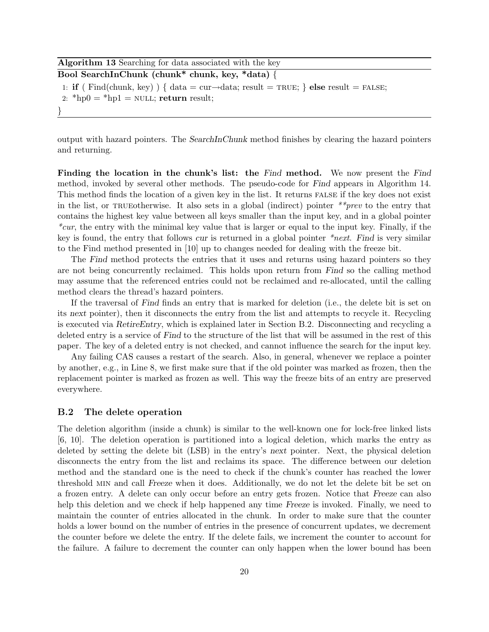| <b>Algorithm 13</b> Searching for data associated with the key                                  |  |  |  |
|-------------------------------------------------------------------------------------------------|--|--|--|
| Bool SearchInChunk (chunk* chunk, key, *data) {                                                 |  |  |  |
| 1: if (Find(chunk, key)) { data = cur $\rightarrow$ data; result = TRUE; } else result = FALSE; |  |  |  |
| 2: $*hp0 = *hp1 = NULL$ ; return result;                                                        |  |  |  |
|                                                                                                 |  |  |  |

output with hazard pointers. The SearchInChunk method finishes by clearing the hazard pointers and returning.

Finding the location in the chunk's list: the Find method. We now present the Find method, invoked by several other methods. The pseudo-code for Find appears in Algorithm 14. This method finds the location of a given key in the list. It returns false if the key does not exist in the list, or TRUE otherwise. It also sets in a global (indirect) pointer  $*_{prev}$  to the entry that contains the highest key value between all keys smaller than the input key, and in a global pointer  $*cur$ , the entry with the minimal key value that is larger or equal to the input key. Finally, if the key is found, the entry that follows cur is returned in a global pointer  $*next$ . Find is very similar to the Find method presented in [10] up to changes needed for dealing with the freeze bit.

The Find method protects the entries that it uses and returns using hazard pointers so they are not being concurrently reclaimed. This holds upon return from Find so the calling method may assume that the referenced entries could not be reclaimed and re-allocated, until the calling method clears the thread's hazard pointers.

If the traversal of Find finds an entry that is marked for deletion (i.e., the delete bit is set on its next pointer), then it disconnects the entry from the list and attempts to recycle it. Recycling is executed via RetireEntry, which is explained later in Section B.2. Disconnecting and recycling a deleted entry is a service of Find to the structure of the list that will be assumed in the rest of this paper. The key of a deleted entry is not checked, and cannot influence the search for the input key.

Any failing CAS causes a restart of the search. Also, in general, whenever we replace a pointer by another, e.g., in Line 8, we first make sure that if the old pointer was marked as frozen, then the replacement pointer is marked as frozen as well. This way the freeze bits of an entry are preserved everywhere.

#### B.2 The delete operation

The deletion algorithm (inside a chunk) is similar to the well-known one for lock-free linked lists [6, 10]. The deletion operation is partitioned into a logical deletion, which marks the entry as deleted by setting the delete bit (LSB) in the entry's next pointer. Next, the physical deletion disconnects the entry from the list and reclaims its space. The difference between our deletion method and the standard one is the need to check if the chunk's counter has reached the lower threshold min and call Freeze when it does. Additionally, we do not let the delete bit be set on a frozen entry. A delete can only occur before an entry gets frozen. Notice that Freeze can also help this deletion and we check if help happened any time Freeze is invoked. Finally, we need to maintain the counter of entries allocated in the chunk. In order to make sure that the counter holds a lower bound on the number of entries in the presence of concurrent updates, we decrement the counter before we delete the entry. If the delete fails, we increment the counter to account for the failure. A failure to decrement the counter can only happen when the lower bound has been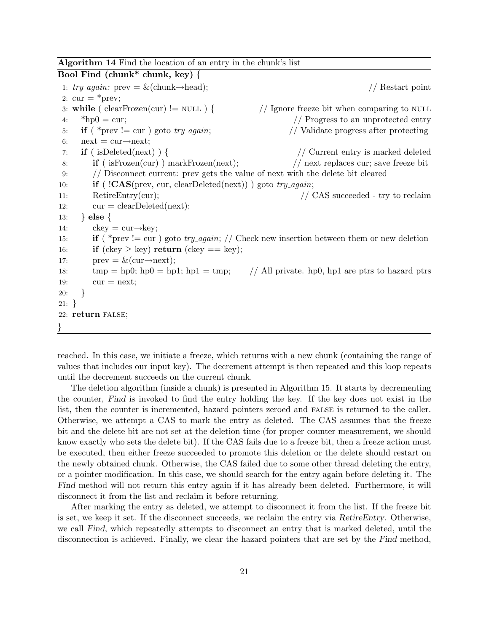Algorithm 14 Find the location of an entry in the chunk's list Bool Find (chunk\* chunk, key) { 1:  $try\_again: \text{prev} = \&(\text{chunk} \rightarrow \text{head});$  // Restart point 2:  $cur = *prev;$ 3: while ( clearFrozen(cur) != NULL ) {  $\frac{1}{2}$  // Ignore freeze bit when comparing to NULL 4: \*hp0 = cur;  $//$  Progress to an unprotected entry 5: if ( \*prev != cur ) goto try again;  $\frac{1}{2}$  // Validate progress after protecting 6:  $next = cur \rightarrow next;$ 7: **if** ( isDeleted(next) ) {  $\frac{1}{2}$  // Current entry is marked deleted 8: **if** ( isFrozen(cur) ) markFrozen(next);  $\frac{1}{2}$  next replaces cur; save freeze bit 9: // Disconnect current: prev gets the value of next with the delete bit cleared 10: **if** (  $|{\bf CAS}$ (prev, cur, clearDeleted(next)) ) goto try again; 11: RetireEntry(cur);  $\frac{1}{2}$  RetireEntry(cur);  $\frac{1}{2}$  RetireEntry(cur); 12:  $cur = clearDeleted(new);$ 13:  $\}$  else  $\{$ 14:  $ckey = cur \rightarrow key;$ 15: **if** (\*prev != cur ) goto try<sub>-again</sub>; // Check new insertion between them or new deletion 16: **if** (ckey  $\geq$  key) **return** (ckey == key); 17:  $prev = \&(cur\rightarrow next);$ 18: tmp = hp0; hp0 = hp1; hp1 = tmp; // All private. hp0, hp1 are ptrs to hazard ptrs 19:  $cur = next;$ 20: } 21: } 22: return false; }

reached. In this case, we initiate a freeze, which returns with a new chunk (containing the range of values that includes our input key). The decrement attempt is then repeated and this loop repeats until the decrement succeeds on the current chunk.

The deletion algorithm (inside a chunk) is presented in Algorithm 15. It starts by decrementing the counter, Find is invoked to find the entry holding the key. If the key does not exist in the list, then the counter is incremented, hazard pointers zeroed and FALSE is returned to the caller. Otherwise, we attempt a CAS to mark the entry as deleted. The CAS assumes that the freeze bit and the delete bit are not set at the deletion time (for proper counter measurement, we should know exactly who sets the delete bit). If the CAS fails due to a freeze bit, then a freeze action must be executed, then either freeze succeeded to promote this deletion or the delete should restart on the newly obtained chunk. Otherwise, the CAS failed due to some other thread deleting the entry, or a pointer modification. In this case, we should search for the entry again before deleting it. The Find method will not return this entry again if it has already been deleted. Furthermore, it will disconnect it from the list and reclaim it before returning.

After marking the entry as deleted, we attempt to disconnect it from the list. If the freeze bit is set, we keep it set. If the disconnect succeeds, we reclaim the entry via RetireEntry. Otherwise, we call Find, which repeatedly attempts to disconnect an entry that is marked deleted, until the disconnection is achieved. Finally, we clear the hazard pointers that are set by the Find method,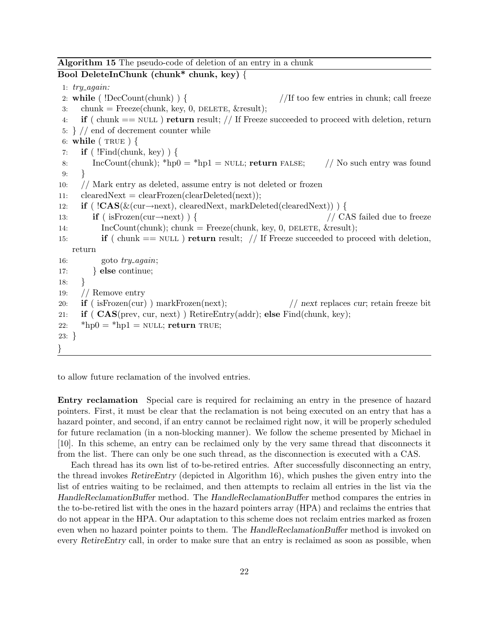Algorithm 15 The pseudo-code of deletion of an entry in a chunk Bool DeleteInChunk (chunk\* chunk, key) { 1:  $try\_again$ : 2: while ( $!DecCount(chark)$ ) {  $//If too few entries in chunk; call freeze$ 3: chunk = Freeze(chunk, key, 0, DELETE,  $\&$ result); 4: if ( chunk  $==$  NULL ) return result; // If Freeze succeeded to proceed with deletion, return 5: } // end of decrement counter while 6: while ( $TRUE$ ) { 7: **if** ( !Find(chunk, key) ) { 8: IncCount(chunk); \*hp0 = \*hp1 = NULL; return FALSE; // No such entry was found 9: } 10: // Mark entry as deleted, assume entry is not deleted or frozen 11:  $cleanNext = clearFrozen(clearDeleted(next));$ 12: if ( $|{\bf CAS}(\&{\rm (cur\rightarrow next)}, {\rm clearedNext}, {\rm markDeleted}({\rm clearedNext}))|$ ) 13: **if** ( isFrozen(cur→next) ) {  $//$  CAS failed due to freeze 14:  $IncCount(chark); chunk = Free(chunk, key, 0, DELETE, & result);$ 15: **if** ( chunk  $==$  NULL ) return result; // If Freeze succeeded to proceed with deletion, return 16: goto try<sub>-</sub>again; 17: **} else** continue; 18: } 19: // Remove entry 20: **if** ( isFrozen(cur) ) markFrozen(next); // next replaces cur; retain freeze bit 21: **if** ( $\text{CAS}(\text{prev}, \text{cur}, \text{next})$ ) RetireEntry(addr); else Find(chunk, key); 22:  $*hp0 = *hp1 = NULL; return TRUE;$ 23: } }

to allow future reclamation of the involved entries.

Entry reclamation Special care is required for reclaiming an entry in the presence of hazard pointers. First, it must be clear that the reclamation is not being executed on an entry that has a hazard pointer, and second, if an entry cannot be reclaimed right now, it will be properly scheduled for future reclamation (in a non-blocking manner). We follow the scheme presented by Michael in [10]. In this scheme, an entry can be reclaimed only by the very same thread that disconnects it from the list. There can only be one such thread, as the disconnection is executed with a CAS.

Each thread has its own list of to-be-retired entries. After successfully disconnecting an entry, the thread invokes RetireEntry (depicted in Algorithm 16), which pushes the given entry into the list of entries waiting to be reclaimed, and then attempts to reclaim all entries in the list via the HandleReclamationBuffer method. The HandleReclamationBuffer method compares the entries in the to-be-retired list with the ones in the hazard pointers array (HPA) and reclaims the entries that do not appear in the HPA. Our adaptation to this scheme does not reclaim entries marked as frozen even when no hazard pointer points to them. The HandleReclamationBuffer method is invoked on every RetireEntry call, in order to make sure that an entry is reclaimed as soon as possible, when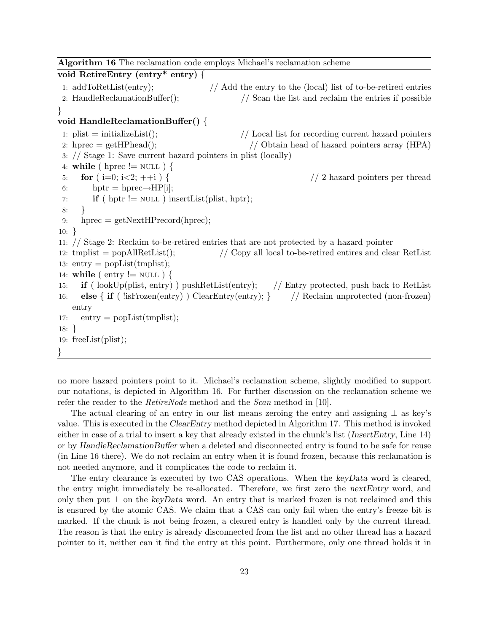Algorithm 16 The reclamation code employs Michael's reclamation scheme void RetireEntry (entry\* entry) { 1: addToRetList(entry); // Add the entry to the (local) list of to-be-retired entries 2: HandleReclamationBuffer $()$ ;  $//$  Scan the list and reclaim the entries if possible } void HandleReclamationBuffer() { 1:  $plist = initializeList();$  // Local list for recording current hazard pointers 2: hprec = getHPhead $(i;$  // Obtain head of hazard pointers array  $(HPA)$ 3: // Stage 1: Save current hazard pointers in plist (locally) 4: while ( hprec  $!=$  NULL ) { 5: **for**  $(i=0; i<2; ++i)$  { // 2 hazard pointers per thread 6: hptr = hprec→HP[i]; 7: **if** ( hptr  $!=$  NULL ) insertList(plist, hptr); 8: } 9: hprec  $=$  getNextHPrecord(hprec); 10: } 11: // Stage 2: Reclaim to-be-retired entries that are not protected by a hazard pointer 12: tmplist = popAllRetList();  $// Copy all local to-be-retried entries and clear RetList$ 13:  $entry = popList(tmplist);$ 14: while ( entry  $!=$  NULL ) { 15: if ( lookUp(plist, entry) ) pushRetList(entry); // Entry protected, push back to RetList 16: else { if ( !isFrozen(entry) ) ClearEntry(entry); } // Reclaim unprotected (non-frozen) entry 17:  $entry = popList(tmplist);$ 18: } 19: freeList(plist); }

no more hazard pointers point to it. Michael's reclamation scheme, slightly modified to support our notations, is depicted in Algorithm 16. For further discussion on the reclamation scheme we refer the reader to the *RetireNode* method and the *Scan* method in [10].

The actual clearing of an entry in our list means zeroing the entry and assigning  $\perp$  as key's value. This is executed in the ClearEntry method depicted in Algorithm 17. This method is invoked either in case of a trial to insert a key that already existed in the chunk's list (InsertEntry, Line 14) or by HandleReclamationBuffer when a deleted and disconnected entry is found to be safe for reuse (in Line 16 there). We do not reclaim an entry when it is found frozen, because this reclamation is not needed anymore, and it complicates the code to reclaim it.

The entry clearance is executed by two CAS operations. When the keyData word is cleared, the entry might immediately be re-allocated. Therefore, we first zero the nextEntry word, and only then put  $\perp$  on the keyData word. An entry that is marked frozen is not reclaimed and this is ensured by the atomic CAS. We claim that a CAS can only fail when the entry's freeze bit is marked. If the chunk is not being frozen, a cleared entry is handled only by the current thread. The reason is that the entry is already disconnected from the list and no other thread has a hazard pointer to it, neither can it find the entry at this point. Furthermore, only one thread holds it in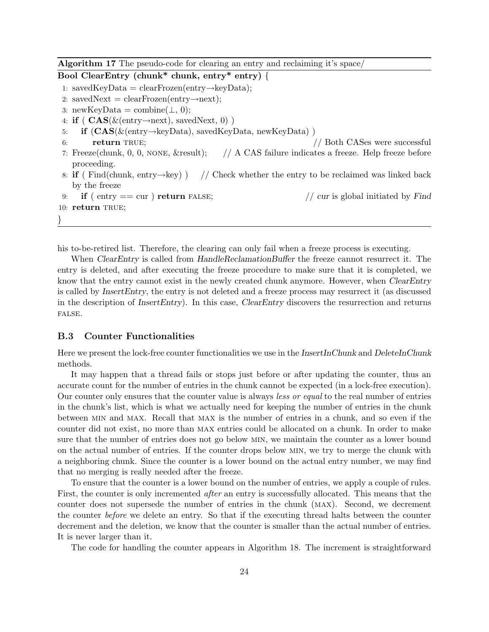Algorithm 17 The pseudo-code for clearing an entry and reclaiming it's space/

Bool ClearEntry (chunk\* chunk, entry\* entry) {

- 1: savedKeyData = clearFrozen(entry $\rightarrow$ keyData);
- 2: savedNext = clearFrozen(entry $\rightarrow$ next);
- 3: newKeyData = combine( $\perp$ , 0);
- 4: **if** (  $\text{CAS}(\&(\text{entry} \rightarrow \text{next}), \text{ savedNext}, 0)$  )
- 5: if  $(CAS(\&(entry \rightarrow keyData), savedKeyData, newKeyData) )$
- 6: return TRUE;  $\frac{1}{1000}$  return true; 7: Freeze(chunk, 0, 0, none, &result); // A CAS failure indicates a freeze. Help freeze before proceeding.
- 8: if ( Find(chunk, entry $\rightarrow$ key) ) // Check whether the entry to be reclaimed was linked back by the freeze

```
9: if (entry = cur) return FALSE; \frac{1}{2} / cur is global initiated by Find
```

```
10: return TRUE;
```
}

his to-be-retired list. Therefore, the clearing can only fail when a freeze process is executing.

When ClearEntry is called from HandleReclamationBuffer the freeze cannot resurrect it. The entry is deleted, and after executing the freeze procedure to make sure that it is completed, we know that the entry cannot exist in the newly created chunk anymore. However, when ClearEntry is called by InsertEntry, the entry is not deleted and a freeze process may resurrect it (as discussed in the description of InsertEntry). In this case, ClearEntry discovers the resurrection and returns false.

#### B.3 Counter Functionalities

Here we present the lock-free counter functionalities we use in the InsertInChunk and DeleteInChunk methods.

It may happen that a thread fails or stops just before or after updating the counter, thus an accurate count for the number of entries in the chunk cannot be expected (in a lock-free execution). Our counter only ensures that the counter value is always less or equal to the real number of entries in the chunk's list, which is what we actually need for keeping the number of entries in the chunk between min and max. Recall that max is the number of entries in a chunk, and so even if the counter did not exist, no more than max entries could be allocated on a chunk. In order to make sure that the number of entries does not go below min, we maintain the counter as a lower bound on the actual number of entries. If the counter drops below min, we try to merge the chunk with a neighboring chunk. Since the counter is a lower bound on the actual entry number, we may find that no merging is really needed after the freeze.

To ensure that the counter is a lower bound on the number of entries, we apply a couple of rules. First, the counter is only incremented *after* an entry is successfully allocated. This means that the counter does not supersede the number of entries in the chunk (max). Second, we decrement the counter before we delete an entry. So that if the executing thread halts between the counter decrement and the deletion, we know that the counter is smaller than the actual number of entries. It is never larger than it.

The code for handling the counter appears in Algorithm 18. The increment is straightforward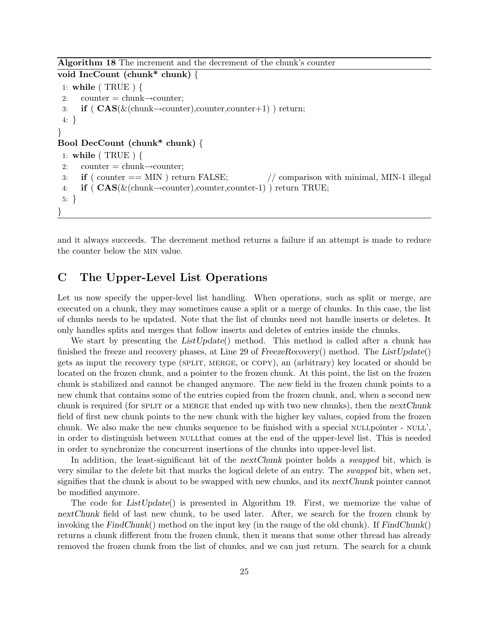Algorithm 18 The increment and the decrement of the chunk's counter

```
void IncCount (chunk* chunk) {
 1: while ( TRUE ) {
 2: counter = chunk\rightarrowcounter;
 3: if (CAS(\&(chunk\rightarrow counter),counter,counter+1)) return;
 4: }
}
Bool DecCount (chunk* chunk) {
 1: while ( TRUE ) {
 2: counter = chunk\rightarrowcounter;
 3: if ( counter == MIN) return FALSE; // comparison with minimal, MIN-1 illegal
 4: if (CAS(\&(chunk\rightarrow counter),counter,counter-1)) return TRUE;
 5: }
}
```
and it always succeeds. The decrement method returns a failure if an attempt is made to reduce the counter below the min value.

## C The Upper-Level List Operations

Let us now specify the upper-level list handling. When operations, such as split or merge, are executed on a chunk, they may sometimes cause a split or a merge of chunks. In this case, the list of chunks needs to be updated. Note that the list of chunks need not handle inserts or deletes. It only handles splits and merges that follow inserts and deletes of entries inside the chunks.

We start by presenting the ListUpdate() method. This method is called after a chunk has finished the freeze and recovery phases, at Line 29 of FreezeRecovery() method. The ListUpdate() gets as input the recovery type (split, merge, or copy), an (arbitrary) key located or should be located on the frozen chunk, and a pointer to the frozen chunk. At this point, the list on the frozen chunk is stabilized and cannot be changed anymore. The new field in the frozen chunk points to a new chunk that contains some of the entries copied from the frozen chunk, and, when a second new chunk is required (for SPLIT or a MERGE that ended up with two new chunks), then the nextChunk field of first new chunk points to the new chunk with the higher key values, copied from the frozen chunk. We also make the new chunks sequence to be finished with a special NULL pointer - NULL', in order to distinguish between NULL that comes at the end of the upper-level list. This is needed in order to synchronize the concurrent insertions of the chunks into upper-level list.

In addition, the least-significant bit of the nextChunk pointer holds a *swapped* bit, which is very similar to the delete bit that marks the logical delete of an entry. The swapped bit, when set, signifies that the chunk is about to be swapped with new chunks, and its nextChunk pointer cannot be modified anymore.

The code for ListUpdate() is presented in Algorithm 19. First, we memorize the value of nextChunk field of last new chunk, to be used later. After, we search for the frozen chunk by invoking the FindChunk() method on the input key (in the range of the old chunk). If FindChunk() returns a chunk different from the frozen chunk, then it means that some other thread has already removed the frozen chunk from the list of chunks, and we can just return. The search for a chunk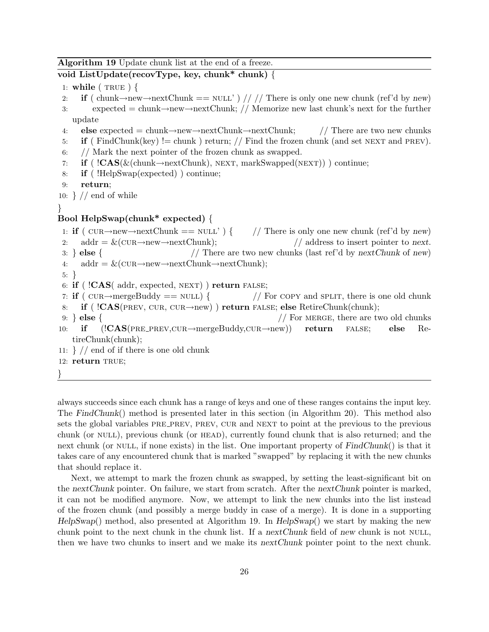Algorithm 19 Update chunk list at the end of a freeze.

## void ListUpdate(recovType, key, chunk\* chunk) {

- 1: while ( $TRUE$ ) {
- 2: if ( chunk→new→nextChunk ==  $\text{NULL'}$  ) // // There is only one new chunk (ref'd by new)
- 3: expected = chunk $\rightarrow$ new $\rightarrow$ nextChunk; // Memorize new last chunk's next for the further update
- 4: else expected = chunk→new→nextChunk→nextChunk; // There are two new chunks
- 5: if ( FindChunk(key) != chunk ) return; // Find the frozen chunk (and set NEXT and PREV).
- 6:  $//$  Mark the next pointer of the frozen chunk as swapped.
- 7: if  $\textbf{(ICAS}(\&(\text{chunk}\rightarrow \text{nextChunk}), \text{NEXT}, \text{markSwapped}(\text{NEXT}))$  ) continue;
- 8: if ( !HelpSwap(expected) ) continue;
- 9: return;
- 10: } // end of while
- }

### Bool HelpSwap(chunk\* expected) {

1: if (  $\text{CUR}\rightarrow \text{new}\rightarrow \text{nextChunk}$  =  $\text{NULL'}$  ) { // There is only one new chunk (ref'd by new) 2:  $\text{addr} = \& (\text{CUR} \rightarrow \text{new} \rightarrow \text{next} \text{chunk});$  // address to insert pointer to next. 3:  $\}$  else { // There are two new chunks (last ref'd by nextChunk of new) 4:  $\text{addr} = \&(\text{CUR}\rightarrow\text{new}\rightarrow\text{nextChunk}\rightarrow\text{nextChunk});$ 5: } 6: if  $($  !CAS $($  addr, expected, NEXT $)$  ) return FALSE; 7: if (  $\text{CUR} \rightarrow \text{mergeBuddy}$  =  $\text{NULL}$ ) { // For COPY and SPLIT, there is one old chunk 8: if ( !CAS(PREV, CUR, CUR→new) ) return FALSE; else RetireChunk(chunk); 9:  $\}$  else  $\{$ 10: if (!CAS(pre prev,cur→mergeBuddy,cur→new)) return false; else RetireChunk(chunk); 11:  $\frac{1}{2}$  // end of if there is one old chunk 12: return TRUE; }

always succeeds since each chunk has a range of keys and one of these ranges contains the input key. The FindChunk() method is presented later in this section (in Algorithm 20). This method also sets the global variables PRE PREV, PREV, CUR and NEXT to point at the previous to the previous chunk (or null), previous chunk (or head), currently found chunk that is also returned; and the next chunk (or NULL, if none exists) in the list. One important property of  $FindChunk()$  is that it takes care of any encountered chunk that is marked "swapped" by replacing it with the new chunks that should replace it.

Next, we attempt to mark the frozen chunk as swapped, by setting the least-significant bit on the nextChunk pointer. On failure, we start from scratch. After the nextChunk pointer is marked, it can not be modified anymore. Now, we attempt to link the new chunks into the list instead of the frozen chunk (and possibly a merge buddy in case of a merge). It is done in a supporting HelpSwap() method, also presented at Algorithm 19. In HelpSwap() we start by making the new chunk point to the next chunk in the chunk list. If a next Chunk field of new chunk is not NULL, then we have two chunks to insert and we make its nextChunk pointer point to the next chunk.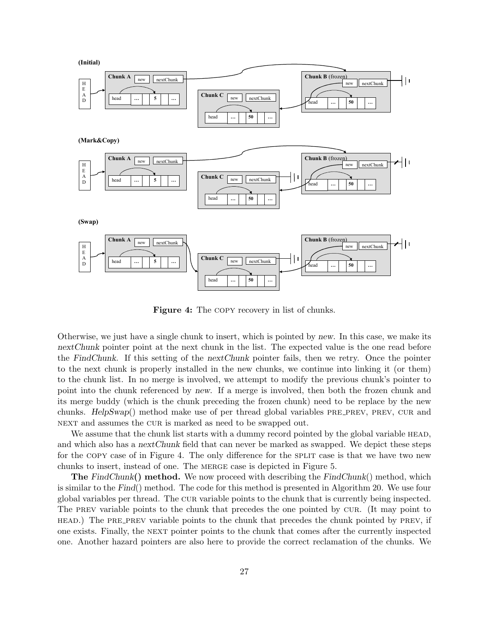

Figure 4: The copy recovery in list of chunks.

Otherwise, we just have a single chunk to insert, which is pointed by new. In this case, we make its nextChunk pointer point at the next chunk in the list. The expected value is the one read before the FindChunk. If this setting of the nextChunk pointer fails, then we retry. Once the pointer to the next chunk is properly installed in the new chunks, we continue into linking it (or them) to the chunk list. In no merge is involved, we attempt to modify the previous chunk's pointer to point into the chunk referenced by new. If a merge is involved, then both the frozen chunk and its merge buddy (which is the chunk preceding the frozen chunk) need to be replace by the new chunks.  $HelpSwap()$  method make use of per thread global variables PRE-PREV, PREV, CUR and NEXT and assumes the CUR is marked as need to be swapped out.

We assume that the chunk list starts with a dummy record pointed by the global variable HEAD, and which also has a nextChunk field that can never be marked as swapped. We depict these steps for the COPY case of in Figure 4. The only difference for the SPLIT case is that we have two new chunks to insert, instead of one. The merge case is depicted in Figure 5.

**The FindChunk() method.** We now proceed with describing the FindChunk() method, which is similar to the Find() method. The code for this method is presented in Algorithm 20. We use four global variables per thread. The cur variable points to the chunk that is currently being inspected. The prev variable points to the chunk that precedes the one pointed by cur. (It may point to HEAD.) The PRE PREV variable points to the chunk that precedes the chunk pointed by PREV, if one exists. Finally, the next pointer points to the chunk that comes after the currently inspected one. Another hazard pointers are also here to provide the correct reclamation of the chunks. We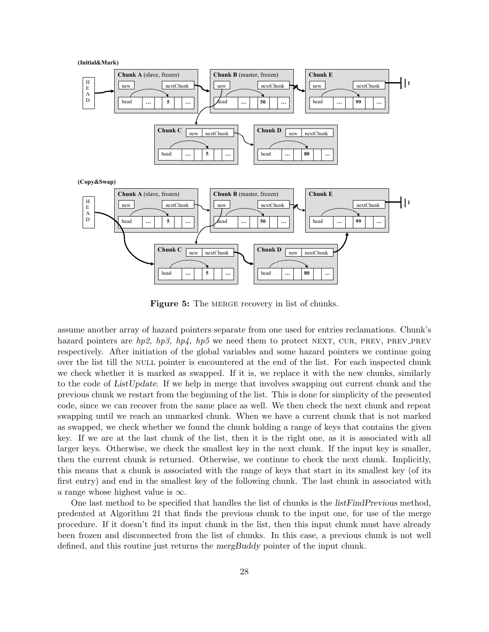

Figure 5: The MERGE recovery in list of chunks.

assume another array of hazard pointers separate from one used for entries reclamations. Chunk's hazard pointers are  $hp2$ ,  $hp3$ ,  $hp4$ ,  $hp5$  we need them to protect NEXT, CUR, PREV, PREV\_PREV respectively. After initiation of the global variables and some hazard pointers we continue going over the list till the NULL pointer is encountered at the end of the list. For each inspected chunk we check whether it is marked as swapped. If it is, we replace it with the new chunks, similarly to the code of ListUpdate. If we help in merge that involves swapping out current chunk and the previous chunk we restart from the beginning of the list. This is done for simplicity of the presented code, since we can recover from the same place as well. We then check the next chunk and repeat swapping until we reach an unmarked chunk. When we have a current chunk that is not marked as swapped, we check whether we found the chunk holding a range of keys that contains the given key. If we are at the last chunk of the list, then it is the right one, as it is associated with all larger keys. Otherwise, we check the smallest key in the next chunk. If the input key is smaller, then the current chunk is returned. Otherwise, we continue to check the next chunk. Implicitly, this means that a chunk is associated with the range of keys that start in its smallest key (of its first entry) and end in the smallest key of the following chunk. The last chunk in associated with a range whose highest value is  $\infty$ .

One last method to be specified that handles the list of chunks is the listFindPrevious method, predented at Algorithm 21 that finds the previous chunk to the input one, for use of the merge procedure. If it doesn't find its input chunk in the list, then this input chunk must have already been frozen and disconnected from the list of chunks. In this case, a previous chunk is not well defined, and this routine just returns the mergBuddy pointer of the input chunk.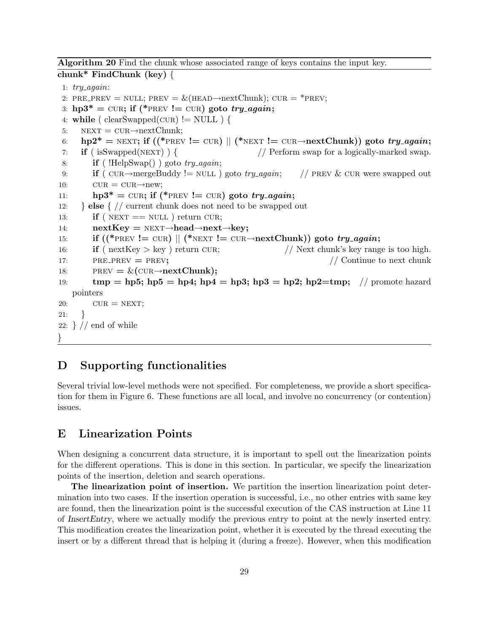Algorithm 20 Find the chunk whose associated range of keys contains the input key.

```
chunk* FindChunk (key) {
 1: try\_again:
 2: PRE_PREV = NULL; PREV = \&(HEAD→nextChunk); CUR = *PREV;
 3: hp3* = CUR; if (*PREV != CUR) goto try_again;
 4: while ( clearSwapped(CUR) != NULL ) {
 5: NEXT = CUR \rightarrow nextChunk;6: hp2* = NEXT; if ({\rm *PREV} = {\rm CUR}) \parallel ({\rm *NEXT} := {\rm CUR} \rightarrow {\rm nextChunk}) goto try_again;
 7: if ( isSwapped(NEXT) ) { \frac{1}{2} // Perform swap for a logically-marked swap.
 8: if (!H\text{elpSwap}()) goto try\_again;9: if ( \text{CUR}\rightarrow \text{mergeBuddy} != NULL ) goto try again; // PREV & CUR were swapped out
10: CUR = CUR \rightarrow new;11: hp3* = CUR; if (*PREV != CUR) goto try\_again;12: \{ / \text{current chunk does not need to be swapped out}\}13: if (NEXT == NULL) return CUR;
14: \text{nextKey} = \text{next}\rightarrow\text{head}\rightarrow\text{next}\rightarrow\text{key};15: if ({*}_{PREV} = \text{CUR}) || ({*}_{NEXT} != \text{CUR} \rightarrow \text{nextChunk})) goto try-again;
16: if (\text{nextKey} > \text{key}) return CUR; // Next chunk's key range is too high.
17: PRE PREV = PREV; // Continue to next chunk
18: PREV = \&(CUR→nextChunk);
19: tmp = hp5; hp5 = hp4; hp4 = hp3; hp3 = hp2; hp2=tmp; // promote hazard
   pointers
20: CUR = NEXT;21: }
22: \frac{1}{2} // end of while
}
```
# D Supporting functionalities

Several trivial low-level methods were not specified. For completeness, we provide a short specification for them in Figure 6. These functions are all local, and involve no concurrency (or contention) issues.

## E Linearization Points

When designing a concurrent data structure, it is important to spell out the linearization points for the different operations. This is done in this section. In particular, we specify the linearization points of the insertion, deletion and search operations.

The linearization point of insertion. We partition the insertion linearization point determination into two cases. If the insertion operation is successful, i.e., no other entries with same key are found, then the linearization point is the successful execution of the CAS instruction at Line 11 of InsertEntry, where we actually modify the previous entry to point at the newly inserted entry. This modification creates the linearization point, whether it is executed by the thread executing the insert or by a different thread that is helping it (during a freeze). However, when this modification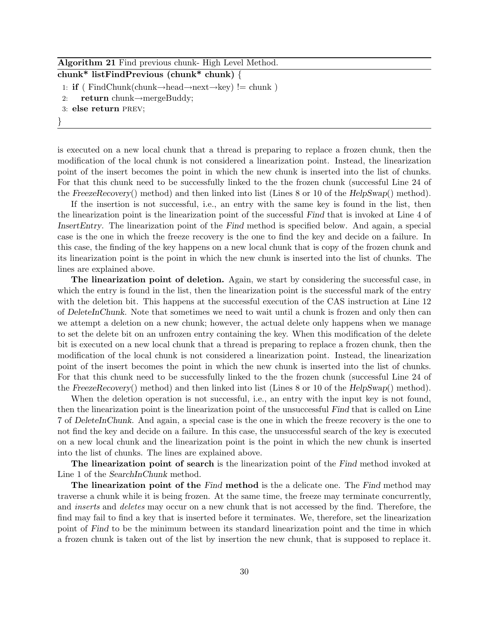#### Algorithm 21 Find previous chunk- High Level Method.

chunk\* listFindPrevious (chunk\* chunk) {

```
1: if ( FindChunk(chunk→head→next→key) != chunk )
```
2: return chunk→mergeBuddy;

```
3: else return prev;
```
}

is executed on a new local chunk that a thread is preparing to replace a frozen chunk, then the modification of the local chunk is not considered a linearization point. Instead, the linearization point of the insert becomes the point in which the new chunk is inserted into the list of chunks. For that this chunk need to be successfully linked to the the frozen chunk (successful Line 24 of the FreezeRecovery() method) and then linked into list (Lines 8 or 10 of the HelpSwap() method).

If the insertion is not successful, i.e., an entry with the same key is found in the list, then the linearization point is the linearization point of the successful Find that is invoked at Line 4 of InsertEntry. The linearization point of the Find method is specified below. And again, a special case is the one in which the freeze recovery is the one to find the key and decide on a failure. In this case, the finding of the key happens on a new local chunk that is copy of the frozen chunk and its linearization point is the point in which the new chunk is inserted into the list of chunks. The lines are explained above.

The linearization point of deletion. Again, we start by considering the successful case, in which the entry is found in the list, then the linearization point is the successful mark of the entry with the deletion bit. This happens at the successful execution of the CAS instruction at Line 12 of DeleteInChunk. Note that sometimes we need to wait until a chunk is frozen and only then can we attempt a deletion on a new chunk; however, the actual delete only happens when we manage to set the delete bit on an unfrozen entry containing the key. When this modification of the delete bit is executed on a new local chunk that a thread is preparing to replace a frozen chunk, then the modification of the local chunk is not considered a linearization point. Instead, the linearization point of the insert becomes the point in which the new chunk is inserted into the list of chunks. For that this chunk need to be successfully linked to the the frozen chunk (successful Line 24 of the FreezeRecovery() method) and then linked into list (Lines 8 or 10 of the HelpSwap() method).

When the deletion operation is not successful, i.e., an entry with the input key is not found, then the linearization point is the linearization point of the unsuccessful Find that is called on Line 7 of DeleteInChunk. And again, a special case is the one in which the freeze recovery is the one to not find the key and decide on a failure. In this case, the unsuccessful search of the key is executed on a new local chunk and the linearization point is the point in which the new chunk is inserted into the list of chunks. The lines are explained above.

The linearization point of search is the linearization point of the Find method invoked at Line 1 of the SearchInChunk method.

**The linearization point of the Find method** is the a delicate one. The Find method may traverse a chunk while it is being frozen. At the same time, the freeze may terminate concurrently, and *inserts* and *deletes* may occur on a new chunk that is not accessed by the find. Therefore, the find may fail to find a key that is inserted before it terminates. We, therefore, set the linearization point of Find to be the minimum between its standard linearization point and the time in which a frozen chunk is taken out of the list by insertion the new chunk, that is supposed to replace it.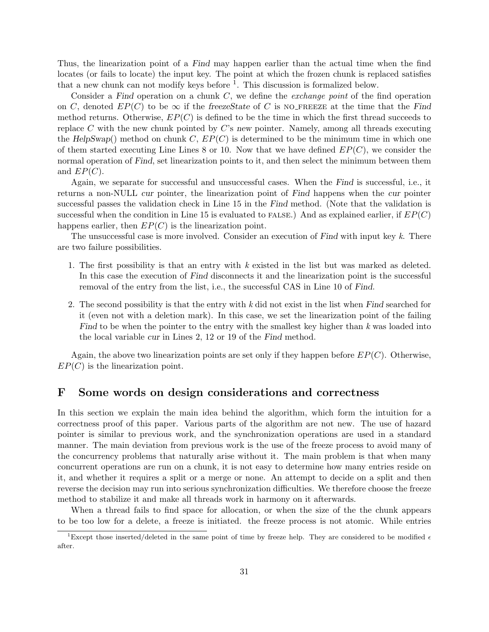Thus, the linearization point of a Find may happen earlier than the actual time when the find locates (or fails to locate) the input key. The point at which the frozen chunk is replaced satisfies that a new chunk can not modify keys before  $<sup>1</sup>$ . This discussion is formalized below.</sup>

Consider a Find operation on a chunk  $C$ , we define the *exchange point* of the find operation on C, denoted  $EP(C)$  to be  $\infty$  if the freeze State of C is NO\_FREEZE at the time that the Find method returns. Otherwise,  $EP(C)$  is defined to be the time in which the first thread succeeds to replace C with the new chunk pointed by C's new pointer. Namely, among all threads executing the HelpSwap() method on chunk C,  $EP(C)$  is determined to be the minimum time in which one of them started executing Line Lines 8 or 10. Now that we have defined  $EP(C)$ , we consider the normal operation of Find, set linearization points to it, and then select the minimum between them and  $EP(C)$ .

Again, we separate for successful and unsuccessful cases. When the Find is successful, i.e., it returns a non-NULL cur pointer, the linearization point of Find happens when the cur pointer successful passes the validation check in Line 15 in the Find method. (Note that the validation is successful when the condition in Line 15 is evaluated to FALSE.) And as explained earlier, if  $EP(C)$ happens earlier, then  $EP(C)$  is the linearization point.

The unsuccessful case is more involved. Consider an execution of Find with input key k. There are two failure possibilities.

- 1. The first possibility is that an entry with k existed in the list but was marked as deleted. In this case the execution of Find disconnects it and the linearization point is the successful removal of the entry from the list, i.e., the successful CAS in Line 10 of Find.
- 2. The second possibility is that the entry with  $k$  did not exist in the list when Find searched for it (even not with a deletion mark). In this case, we set the linearization point of the failing Find to be when the pointer to the entry with the smallest key higher than  $k$  was loaded into the local variable cur in Lines 2, 12 or 19 of the Find method.

Again, the above two linearization points are set only if they happen before  $EP(C)$ . Otherwise,  $EP(C)$  is the linearization point.

## F Some words on design considerations and correctness

In this section we explain the main idea behind the algorithm, which form the intuition for a correctness proof of this paper. Various parts of the algorithm are not new. The use of hazard pointer is similar to previous work, and the synchronization operations are used in a standard manner. The main deviation from previous work is the use of the freeze process to avoid many of the concurrency problems that naturally arise without it. The main problem is that when many concurrent operations are run on a chunk, it is not easy to determine how many entries reside on it, and whether it requires a split or a merge or none. An attempt to decide on a split and then reverse the decision may run into serious synchronization difficulties. We therefore choose the freeze method to stabilize it and make all threads work in harmony on it afterwards.

When a thread fails to find space for allocation, or when the size of the the chunk appears to be too low for a delete, a freeze is initiated. the freeze process is not atomic. While entries

<sup>&</sup>lt;sup>1</sup>Except those inserted/deleted in the same point of time by freeze help. They are considered to be modified  $\epsilon$ after.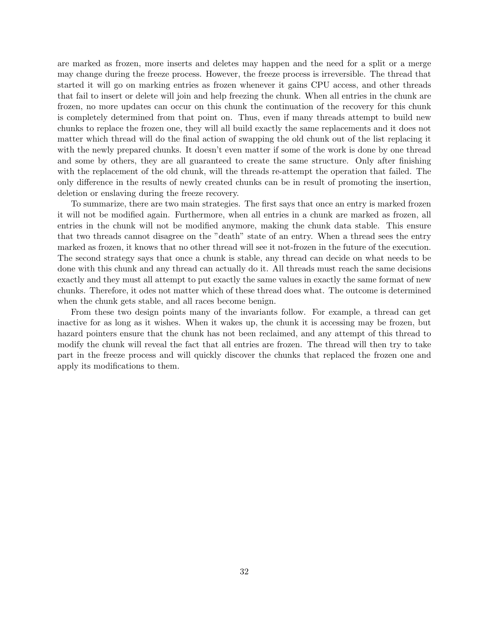are marked as frozen, more inserts and deletes may happen and the need for a split or a merge may change during the freeze process. However, the freeze process is irreversible. The thread that started it will go on marking entries as frozen whenever it gains CPU access, and other threads that fail to insert or delete will join and help freezing the chunk. When all entries in the chunk are frozen, no more updates can occur on this chunk the continuation of the recovery for this chunk is completely determined from that point on. Thus, even if many threads attempt to build new chunks to replace the frozen one, they will all build exactly the same replacements and it does not matter which thread will do the final action of swapping the old chunk out of the list replacing it with the newly prepared chunks. It doesn't even matter if some of the work is done by one thread and some by others, they are all guaranteed to create the same structure. Only after finishing with the replacement of the old chunk, will the threads re-attempt the operation that failed. The only difference in the results of newly created chunks can be in result of promoting the insertion, deletion or enslaving during the freeze recovery.

To summarize, there are two main strategies. The first says that once an entry is marked frozen it will not be modified again. Furthermore, when all entries in a chunk are marked as frozen, all entries in the chunk will not be modified anymore, making the chunk data stable. This ensure that two threads cannot disagree on the "death" state of an entry. When a thread sees the entry marked as frozen, it knows that no other thread will see it not-frozen in the future of the execution. The second strategy says that once a chunk is stable, any thread can decide on what needs to be done with this chunk and any thread can actually do it. All threads must reach the same decisions exactly and they must all attempt to put exactly the same values in exactly the same format of new chunks. Therefore, it odes not matter which of these thread does what. The outcome is determined when the chunk gets stable, and all races become benign.

From these two design points many of the invariants follow. For example, a thread can get inactive for as long as it wishes. When it wakes up, the chunk it is accessing may be frozen, but hazard pointers ensure that the chunk has not been reclaimed, and any attempt of this thread to modify the chunk will reveal the fact that all entries are frozen. The thread will then try to take part in the freeze process and will quickly discover the chunks that replaced the frozen one and apply its modifications to them.